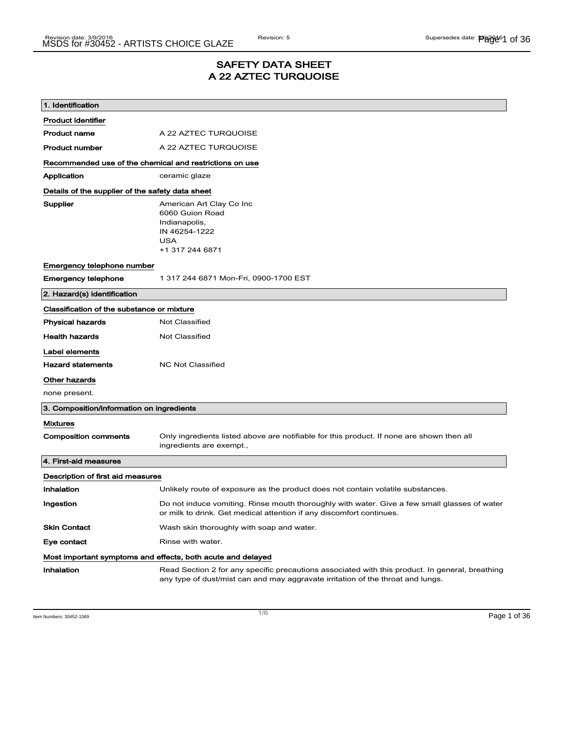### SAFETY DATA SHEET A 22 AZTEC TURQUOISE

| 1. Identification                                       |                                                                                                                                                                                    |
|---------------------------------------------------------|------------------------------------------------------------------------------------------------------------------------------------------------------------------------------------|
| Product identifier                                      |                                                                                                                                                                                    |
| <b>Product name</b>                                     | A 22 AZTEC TURQUOISE                                                                                                                                                               |
| <b>Product number</b>                                   | A 22 AZTEC TURQUOISE                                                                                                                                                               |
| Recommended use of the chemical and restrictions on use |                                                                                                                                                                                    |
| Application                                             | ceramic glaze                                                                                                                                                                      |
| Details of the supplier of the safety data sheet        |                                                                                                                                                                                    |
| Supplier                                                | American Art Clay Co Inc<br>6060 Guion Road<br>Indianapolis,<br>IN 46254-1222<br><b>USA</b><br>+1 317 244 6871                                                                     |
| Emergency telephone number                              |                                                                                                                                                                                    |
| <b>Emergency telephone</b>                              | 1 317 244 6871 Mon-Fri, 0900-1700 EST                                                                                                                                              |
| 2. Hazard(s) identification                             |                                                                                                                                                                                    |
| Classification of the substance or mixture              |                                                                                                                                                                                    |
| <b>Physical hazards</b>                                 | <b>Not Classified</b>                                                                                                                                                              |
| <b>Health hazards</b>                                   | <b>Not Classified</b>                                                                                                                                                              |
| Label elements                                          |                                                                                                                                                                                    |
| <b>Hazard statements</b>                                | <b>NC Not Classified</b>                                                                                                                                                           |
| Other hazards                                           |                                                                                                                                                                                    |
| none present.                                           |                                                                                                                                                                                    |
| 3. Composition/information on ingredients               |                                                                                                                                                                                    |
| <b>Mixtures</b>                                         |                                                                                                                                                                                    |
| <b>Composition comments</b>                             | Only ingredients listed above are notifiable for this product. If none are shown then all<br>ingredients are exempt.,                                                              |
| 4. First-aid measures                                   |                                                                                                                                                                                    |
| Description of first aid measures                       |                                                                                                                                                                                    |
| Inhalation                                              | Unlikely route of exposure as the product does not contain volatile substances.                                                                                                    |
| Ingestion                                               | Do not induce vomiting. Rinse mouth thoroughly with water. Give a few small glasses of water<br>or milk to drink. Get medical attention if any discomfort continues.               |
| <b>Skin Contact</b>                                     | Wash skin thoroughly with soap and water.                                                                                                                                          |
| Eye contact                                             | Rinse with water.                                                                                                                                                                  |
|                                                         | Most important symptoms and effects, both acute and delayed                                                                                                                        |
| Inhalation                                              | Read Section 2 for any specific precautions associated with this product. In general, breathing<br>any type of dust/mist can and may aggravate irritation of the throat and lungs. |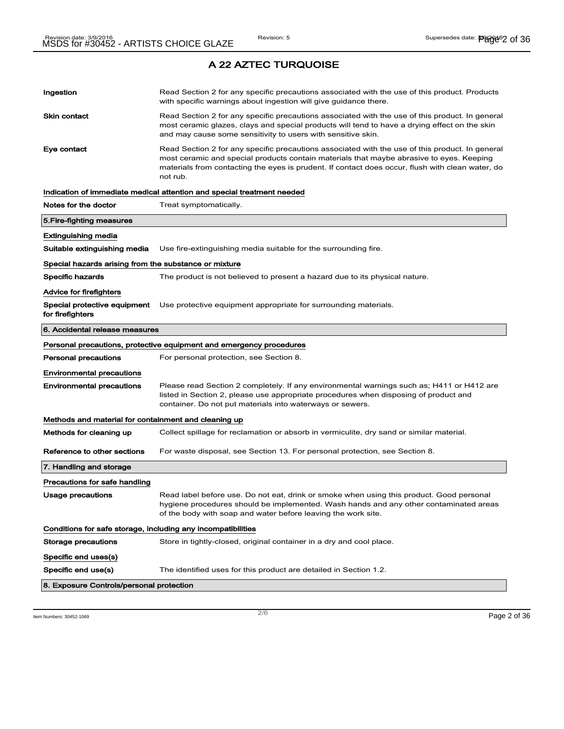| Ingestion                                                    | Read Section 2 for any specific precautions associated with the use of this product. Products<br>with specific warnings about ingestion will give guidance there.                                                                                                                                           |
|--------------------------------------------------------------|-------------------------------------------------------------------------------------------------------------------------------------------------------------------------------------------------------------------------------------------------------------------------------------------------------------|
| Skin contact                                                 | Read Section 2 for any specific precautions associated with the use of this product. In general<br>most ceramic glazes, clays and special products will tend to have a drying effect on the skin<br>and may cause some sensitivity to users with sensitive skin.                                            |
| Eye contact                                                  | Read Section 2 for any specific precautions associated with the use of this product. In general<br>most ceramic and special products contain materials that maybe abrasive to eyes. Keeping<br>materials from contacting the eyes is prudent. If contact does occur, flush with clean water, do<br>not rub. |
|                                                              | Indication of immediate medical attention and special treatment needed                                                                                                                                                                                                                                      |
| Notes for the doctor                                         | Treat symptomatically.                                                                                                                                                                                                                                                                                      |
| 5.Fire-fighting measures                                     |                                                                                                                                                                                                                                                                                                             |
| Extinguishing media                                          |                                                                                                                                                                                                                                                                                                             |
| Suitable extinguishing media                                 | Use fire-extinguishing media suitable for the surrounding fire.                                                                                                                                                                                                                                             |
| Special hazards arising from the substance or mixture        |                                                                                                                                                                                                                                                                                                             |
| <b>Specific hazards</b>                                      | The product is not believed to present a hazard due to its physical nature.                                                                                                                                                                                                                                 |
| <b>Advice for firefighters</b>                               |                                                                                                                                                                                                                                                                                                             |
| Special protective equipment<br>for firefighters             | Use protective equipment appropriate for surrounding materials.                                                                                                                                                                                                                                             |
| 6. Accidental release measures                               |                                                                                                                                                                                                                                                                                                             |
|                                                              | Personal precautions, protective equipment and emergency procedures                                                                                                                                                                                                                                         |
| <b>Personal precautions</b>                                  | For personal protection, see Section 8.                                                                                                                                                                                                                                                                     |
| <b>Environmental precautions</b>                             |                                                                                                                                                                                                                                                                                                             |
| <b>Environmental precautions</b>                             | Please read Section 2 completely. If any environmental warnings such as; H411 or H412 are<br>listed in Section 2, please use appropriate procedures when disposing of product and<br>container. Do not put materials into waterways or sewers.                                                              |
| Methods and material for containment and cleaning up         |                                                                                                                                                                                                                                                                                                             |
| Methods for cleaning up                                      | Collect spillage for reclamation or absorb in vermiculite, dry sand or similar material.                                                                                                                                                                                                                    |
| Reference to other sections                                  | For waste disposal, see Section 13. For personal protection, see Section 8.                                                                                                                                                                                                                                 |
| 7. Handling and storage                                      |                                                                                                                                                                                                                                                                                                             |
| Precautions for safe handling                                |                                                                                                                                                                                                                                                                                                             |
| Usage precautions                                            | Read label before use. Do not eat, drink or smoke when using this product. Good personal<br>hygiene procedures should be implemented. Wash hands and any other contaminated areas<br>of the body with soap and water before leaving the work site.                                                          |
| Conditions for safe storage, including any incompatibilities |                                                                                                                                                                                                                                                                                                             |
| Storage precautions                                          | Store in tightly-closed, original container in a dry and cool place.                                                                                                                                                                                                                                        |
| Specific end uses(s)                                         |                                                                                                                                                                                                                                                                                                             |
| Specific end use(s)                                          | The identified uses for this product are detailed in Section 1.2.                                                                                                                                                                                                                                           |
| 8. Exposure Controls/personal protection                     |                                                                                                                                                                                                                                                                                                             |

Item Numbers:  $30452-1069$   $Page 2 of 36$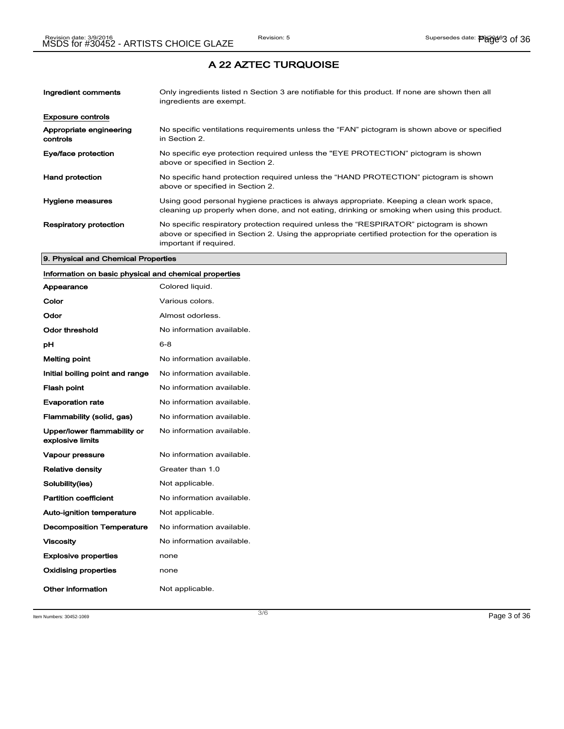| Ingredient comments                 | Only ingredients listed n Section 3 are notifiable for this product. If none are shown then all<br>ingredients are exempt.                                                                                           |
|-------------------------------------|----------------------------------------------------------------------------------------------------------------------------------------------------------------------------------------------------------------------|
| <b>Exposure controls</b>            |                                                                                                                                                                                                                      |
| Appropriate engineering<br>controls | No specific ventilations requirements unless the "FAN" pictogram is shown above or specified<br>in Section 2.                                                                                                        |
| Eye/face protection                 | No specific eye protection required unless the "EYE PROTECTION" pictogram is shown<br>above or specified in Section 2.                                                                                               |
| <b>Hand protection</b>              | No specific hand protection required unless the "HAND PROTECTION" pictogram is shown<br>above or specified in Section 2.                                                                                             |
| Hygiene measures                    | Using good personal hygiene practices is always appropriate. Keeping a clean work space,<br>cleaning up properly when done, and not eating, drinking or smoking when using this product.                             |
| <b>Respiratory protection</b>       | No specific respiratory protection required unless the "RESPIRATOR" pictogram is shown<br>above or specified in Section 2. Using the appropriate certified protection for the operation is<br>important if required. |

#### 9. Physical and Chemical Properties

### Information on basic physical and chemical properties

| Appearance                                      | Colored liquid.           |
|-------------------------------------------------|---------------------------|
| Color                                           | Various colors.           |
| Odor                                            | Almost odorless.          |
| Odor threshold                                  | No information available. |
| рH                                              | $6 - 8$                   |
| <b>Melting point</b>                            | No information available. |
| Initial boiling point and range                 | No information available. |
| <b>Flash point</b>                              | No information available. |
| <b>Evaporation rate</b>                         | No information available. |
| Flammability (solid, gas)                       | No information available. |
| Upper/lower flammability or<br>explosive limits | No information available. |
| Vapour pressure                                 | No information available. |
| <b>Relative density</b>                         | Greater than 1.0          |
| Solubility(ies)                                 | Not applicable.           |
| <b>Partition coefficient</b>                    | No information available. |
| Auto-ignition temperature                       | Not applicable.           |
| <b>Decomposition Temperature</b>                | No information available. |
| <b>Viscosity</b>                                | No information available. |
| <b>Explosive properties</b>                     | none                      |
| Oxidising properties                            | none                      |
| Other information                               | Not applicable.           |

Item Numbers:  $30452-1069$   $Page 3 of 36$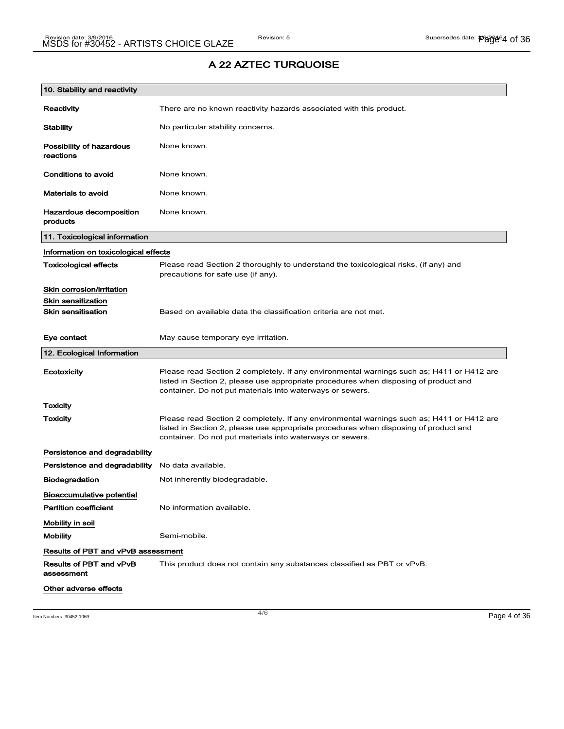| 10. Stability and reactivity              |                                                                                                                                                                                                                                                |
|-------------------------------------------|------------------------------------------------------------------------------------------------------------------------------------------------------------------------------------------------------------------------------------------------|
| Reactivity                                | There are no known reactivity hazards associated with this product.                                                                                                                                                                            |
| <b>Stability</b>                          | No particular stability concerns.                                                                                                                                                                                                              |
| Possibility of hazardous<br>reactions     | None known.                                                                                                                                                                                                                                    |
| Conditions to avoid                       | None known.                                                                                                                                                                                                                                    |
| <b>Materials to avoid</b>                 | None known.                                                                                                                                                                                                                                    |
| Hazardous decomposition<br>products       | None known.                                                                                                                                                                                                                                    |
| 11. Toxicological information             |                                                                                                                                                                                                                                                |
| Information on toxicological effects      |                                                                                                                                                                                                                                                |
| <b>Toxicological effects</b>              | Please read Section 2 thoroughly to understand the toxicological risks, (if any) and<br>precautions for safe use (if any).                                                                                                                     |
| Skin corrosion/irritation                 |                                                                                                                                                                                                                                                |
| <b>Skin sensitization</b>                 |                                                                                                                                                                                                                                                |
| <b>Skin sensitisation</b>                 | Based on available data the classification criteria are not met.                                                                                                                                                                               |
| Eye contact                               | May cause temporary eye irritation.                                                                                                                                                                                                            |
| 12. Ecological Information                |                                                                                                                                                                                                                                                |
| Ecotoxicity                               | Please read Section 2 completely. If any environmental warnings such as; H411 or H412 are<br>listed in Section 2, please use appropriate procedures when disposing of product and<br>container. Do not put materials into waterways or sewers. |
| Toxicity                                  |                                                                                                                                                                                                                                                |
| Toxicity                                  | Please read Section 2 completely. If any environmental warnings such as; H411 or H412 are<br>listed in Section 2, please use appropriate procedures when disposing of product and<br>container. Do not put materials into waterways or sewers. |
| Persistence and degradability             |                                                                                                                                                                                                                                                |
| Persistence and degradability             | No data available.                                                                                                                                                                                                                             |
| <b>Biodegradation</b>                     | Not inherently biodegradable.                                                                                                                                                                                                                  |
| Bioaccumulative potential                 |                                                                                                                                                                                                                                                |
| <b>Partition coefficient</b>              | No information available.                                                                                                                                                                                                                      |
| Mobility in soil                          |                                                                                                                                                                                                                                                |
| <b>Mobility</b>                           | Semi-mobile.                                                                                                                                                                                                                                   |
| <b>Results of PBT and vPvB assessment</b> |                                                                                                                                                                                                                                                |
| Results of PBT and vPvB<br>assessment     | This product does not contain any substances classified as PBT or vPvB.                                                                                                                                                                        |
| Other adverse effects                     |                                                                                                                                                                                                                                                |

Item Numbers: 30452-1069 Page 4 of 36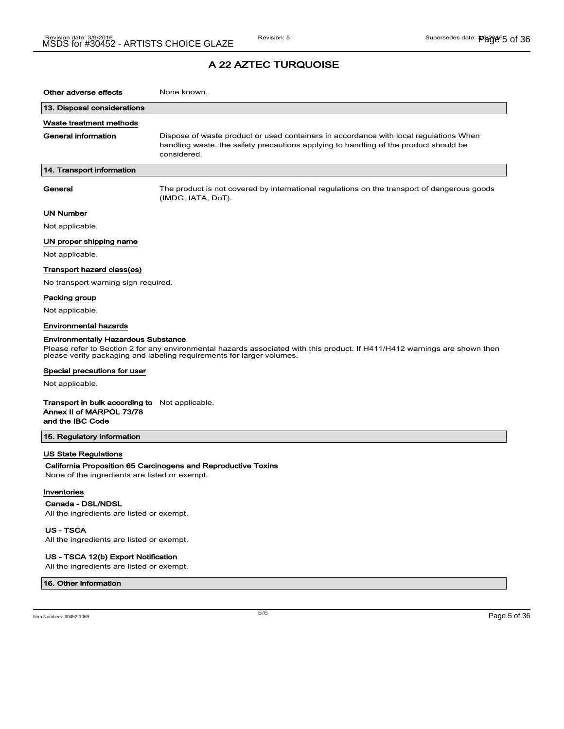| Other adverse effects                                                                                 | None known.                                                                                                                                                                                         |
|-------------------------------------------------------------------------------------------------------|-----------------------------------------------------------------------------------------------------------------------------------------------------------------------------------------------------|
| 13. Disposal considerations                                                                           |                                                                                                                                                                                                     |
| Waste treatment methods                                                                               |                                                                                                                                                                                                     |
| <b>General information</b>                                                                            | Dispose of waste product or used containers in accordance with local regulations When<br>handling waste, the safety precautions applying to handling of the product should be<br>considered.        |
| 14. Transport information                                                                             |                                                                                                                                                                                                     |
| General                                                                                               | The product is not covered by international regulations on the transport of dangerous goods<br>(IMDG, IATA, DoT).                                                                                   |
| UN Number                                                                                             |                                                                                                                                                                                                     |
| Not applicable.                                                                                       |                                                                                                                                                                                                     |
| UN proper shipping name                                                                               |                                                                                                                                                                                                     |
| Not applicable.                                                                                       |                                                                                                                                                                                                     |
| Transport hazard class(es)                                                                            |                                                                                                                                                                                                     |
| No transport warning sign required.                                                                   |                                                                                                                                                                                                     |
| Packing group                                                                                         |                                                                                                                                                                                                     |
| Not applicable.                                                                                       |                                                                                                                                                                                                     |
| <b>Environmental hazards</b>                                                                          |                                                                                                                                                                                                     |
| <b>Environmentally Hazardous Substance</b>                                                            |                                                                                                                                                                                                     |
|                                                                                                       | Please refer to Section 2 for any environmental hazards associated with this product. If H411/H412 warnings are shown then<br>please verify packaging and labeling requirements for larger volumes. |
| Special precautions for user                                                                          |                                                                                                                                                                                                     |
| Not applicable.                                                                                       |                                                                                                                                                                                                     |
| <b>Transport in bulk according to</b> Not applicable.<br>Annex II of MARPOL 73/78<br>and the IBC Code |                                                                                                                                                                                                     |
| 15. Regulatory information                                                                            |                                                                                                                                                                                                     |
| US State Regulations                                                                                  |                                                                                                                                                                                                     |
| None of the ingredients are listed or exempt.                                                         | California Proposition 65 Carcinogens and Reproductive Toxins                                                                                                                                       |

#### Inventories

 $\overline{\phantom{a}}$ 

Canada - DSL/NDSL

All the ingredients are listed or exempt.

US - TSCA All the ingredients are listed or exempt.

US - TSCA 12(b) Export Notification

All the ingredients are listed or exempt.

#### 16. Other information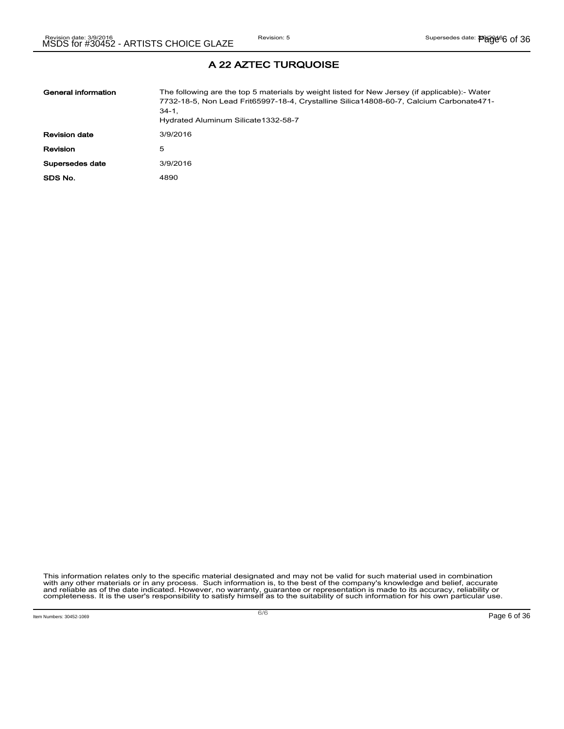| General information  | The following are the top 5 materials by weight listed for New Jersey (if applicable):- Water<br>7732-18-5, Non Lead Frit65997-18-4, Crystalline Silica14808-60-7, Calcium Carbonate471-<br>$34-1.$<br>Hydrated Aluminum Silicate 1332-58-7 |
|----------------------|---------------------------------------------------------------------------------------------------------------------------------------------------------------------------------------------------------------------------------------------|
| <b>Revision date</b> | 3/9/2016                                                                                                                                                                                                                                    |
| Revision             | 5                                                                                                                                                                                                                                           |
| Supersedes date      | 3/9/2016                                                                                                                                                                                                                                    |
| SDS No.              | 4890                                                                                                                                                                                                                                        |

# This information relates only to the specific material designated and may not be valid for such material used in combination<br>with any other materials or in any process. Such information is, to the best of the company's kn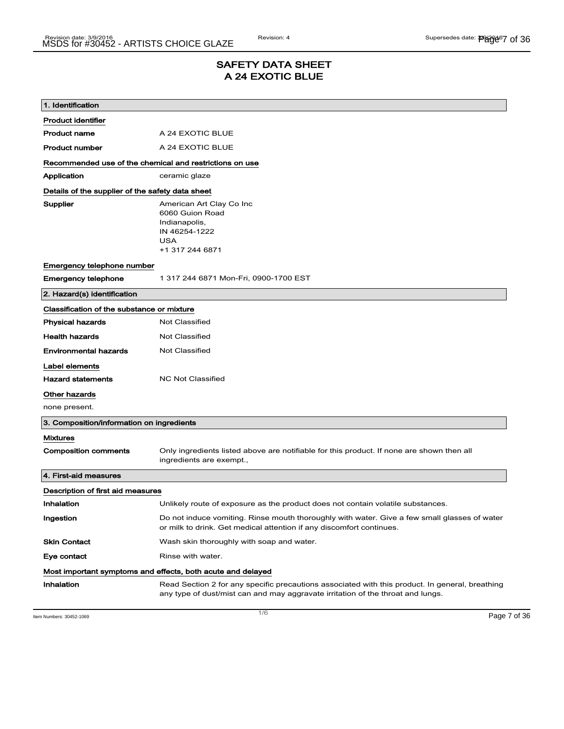### SAFETY DATA SHEET A 24 EXOTIC BLUE

| 1. Identification                                       |                                                                                                                                                                                    |  |  |
|---------------------------------------------------------|------------------------------------------------------------------------------------------------------------------------------------------------------------------------------------|--|--|
| <b>Product identifier</b>                               |                                                                                                                                                                                    |  |  |
| <b>Product name</b>                                     | A 24 EXOTIC BLUE                                                                                                                                                                   |  |  |
| <b>Product number</b>                                   | A 24 EXOTIC BLUE                                                                                                                                                                   |  |  |
| Recommended use of the chemical and restrictions on use |                                                                                                                                                                                    |  |  |
| Application                                             | ceramic glaze                                                                                                                                                                      |  |  |
|                                                         | Details of the supplier of the safety data sheet                                                                                                                                   |  |  |
| Supplier                                                | American Art Clay Co Inc<br>6060 Guion Road<br>Indianapolis,<br>IN 46254-1222<br><b>USA</b><br>+1 317 244 6871                                                                     |  |  |
| Emergency telephone number                              |                                                                                                                                                                                    |  |  |
| <b>Emergency telephone</b>                              | 1 317 244 6871 Mon-Fri, 0900-1700 EST                                                                                                                                              |  |  |
| 2. Hazard(s) identification                             |                                                                                                                                                                                    |  |  |
| Classification of the substance or mixture              |                                                                                                                                                                                    |  |  |
| <b>Physical hazards</b>                                 | <b>Not Classified</b>                                                                                                                                                              |  |  |
| <b>Health hazards</b>                                   | <b>Not Classified</b>                                                                                                                                                              |  |  |
| <b>Environmental hazards</b>                            | Not Classified                                                                                                                                                                     |  |  |
| Label elements                                          |                                                                                                                                                                                    |  |  |
| <b>Hazard statements</b>                                | <b>NC Not Classified</b>                                                                                                                                                           |  |  |
| Other hazards                                           |                                                                                                                                                                                    |  |  |
| none present.                                           |                                                                                                                                                                                    |  |  |
| 3. Composition/information on ingredients               |                                                                                                                                                                                    |  |  |
| <b>Mixtures</b>                                         |                                                                                                                                                                                    |  |  |
| <b>Composition comments</b>                             | Only ingredients listed above are notifiable for this product. If none are shown then all<br>ingredients are exempt.,                                                              |  |  |
| 4. First-aid measures                                   |                                                                                                                                                                                    |  |  |
| Description of first aid measures                       |                                                                                                                                                                                    |  |  |
| Inhalation                                              | Unlikely route of exposure as the product does not contain volatile substances.                                                                                                    |  |  |
| Ingestion                                               | Do not induce vomiting. Rinse mouth thoroughly with water. Give a few small glasses of water<br>or milk to drink. Get medical attention if any discomfort continues.               |  |  |
| <b>Skin Contact</b>                                     | Wash skin thoroughly with soap and water.                                                                                                                                          |  |  |
| Eye contact                                             | Rinse with water.                                                                                                                                                                  |  |  |
|                                                         | Most important symptoms and effects, both acute and delayed                                                                                                                        |  |  |
| Inhalation                                              | Read Section 2 for any specific precautions associated with this product. In general, breathing<br>any type of dust/mist can and may aggravate irritation of the throat and lungs. |  |  |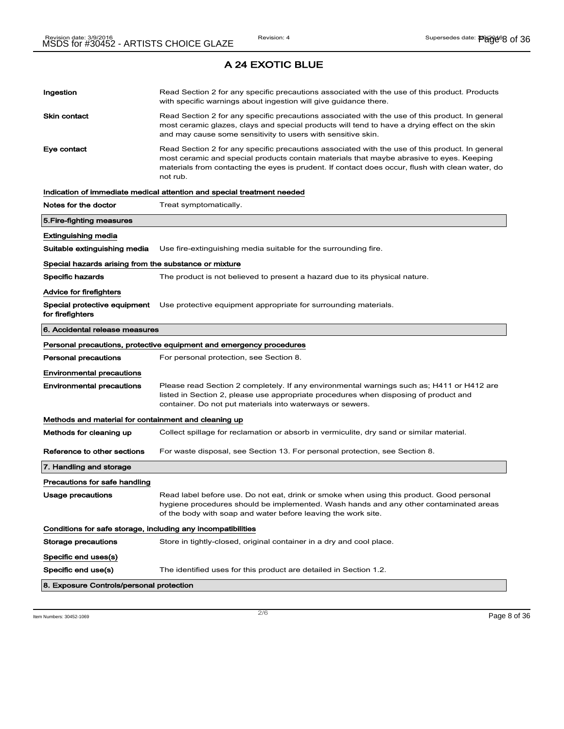| Ingestion                                                    | Read Section 2 for any specific precautions associated with the use of this product. Products<br>with specific warnings about ingestion will give guidance there.                                                                                                                                           |  |
|--------------------------------------------------------------|-------------------------------------------------------------------------------------------------------------------------------------------------------------------------------------------------------------------------------------------------------------------------------------------------------------|--|
| <b>Skin contact</b>                                          | Read Section 2 for any specific precautions associated with the use of this product. In general<br>most ceramic glazes, clays and special products will tend to have a drying effect on the skin<br>and may cause some sensitivity to users with sensitive skin.                                            |  |
| Eye contact                                                  | Read Section 2 for any specific precautions associated with the use of this product. In general<br>most ceramic and special products contain materials that maybe abrasive to eyes. Keeping<br>materials from contacting the eyes is prudent. If contact does occur, flush with clean water, do<br>not rub. |  |
|                                                              | Indication of immediate medical attention and special treatment needed                                                                                                                                                                                                                                      |  |
| Notes for the doctor                                         | Treat symptomatically.                                                                                                                                                                                                                                                                                      |  |
| 5.Fire-fighting measures                                     |                                                                                                                                                                                                                                                                                                             |  |
| Extinguishing media                                          |                                                                                                                                                                                                                                                                                                             |  |
| Suitable extinguishing media                                 | Use fire-extinguishing media suitable for the surrounding fire.                                                                                                                                                                                                                                             |  |
| Special hazards arising from the substance or mixture        |                                                                                                                                                                                                                                                                                                             |  |
| <b>Specific hazards</b>                                      | The product is not believed to present a hazard due to its physical nature.                                                                                                                                                                                                                                 |  |
| Advice for firefighters                                      |                                                                                                                                                                                                                                                                                                             |  |
| for firefighters                                             | <b>Special protective equipment</b> Use protective equipment appropriate for surrounding materials.                                                                                                                                                                                                         |  |
| 6. Accidental release measures                               |                                                                                                                                                                                                                                                                                                             |  |
|                                                              | Personal precautions, protective equipment and emergency procedures                                                                                                                                                                                                                                         |  |
| Personal precautions                                         | For personal protection, see Section 8.                                                                                                                                                                                                                                                                     |  |
| Environmental precautions                                    |                                                                                                                                                                                                                                                                                                             |  |
| Environmental precautions                                    | Please read Section 2 completely. If any environmental warnings such as; H411 or H412 are<br>listed in Section 2, please use appropriate procedures when disposing of product and<br>container. Do not put materials into waterways or sewers.                                                              |  |
| Methods and material for containment and cleaning up         |                                                                                                                                                                                                                                                                                                             |  |
| Methods for cleaning up                                      | Collect spillage for reclamation or absorb in vermiculite, dry sand or similar material.                                                                                                                                                                                                                    |  |
| Reference to other sections                                  | For waste disposal, see Section 13. For personal protection, see Section 8.                                                                                                                                                                                                                                 |  |
| 7. Handling and storage                                      |                                                                                                                                                                                                                                                                                                             |  |
| Precautions for safe handling                                |                                                                                                                                                                                                                                                                                                             |  |
| Usage precautions                                            | Read label before use. Do not eat, drink or smoke when using this product. Good personal<br>hygiene procedures should be implemented. Wash hands and any other contaminated areas<br>of the body with soap and water before leaving the work site.                                                          |  |
| Conditions for safe storage, including any incompatibilities |                                                                                                                                                                                                                                                                                                             |  |
| Storage precautions                                          | Store in tightly-closed, original container in a dry and cool place.                                                                                                                                                                                                                                        |  |
| Specific end uses(s)                                         |                                                                                                                                                                                                                                                                                                             |  |
| Specific end use(s)                                          | The identified uses for this product are detailed in Section 1.2.                                                                                                                                                                                                                                           |  |
| 8. Exposure Controls/personal protection                     |                                                                                                                                                                                                                                                                                                             |  |

Item Numbers:  $30452-1069$   $Page 8 of 36$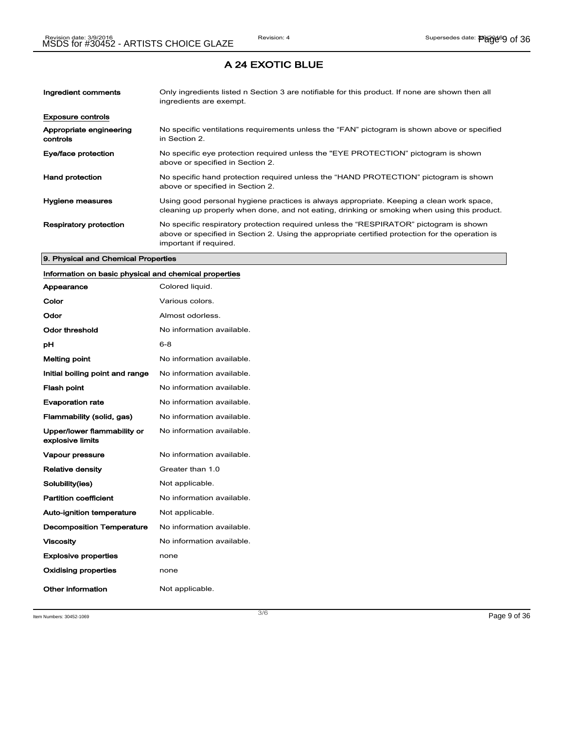| Ingredient comments                 | Only ingredients listed n Section 3 are notifiable for this product. If none are shown then all<br>ingredients are exempt.                                                                                           |
|-------------------------------------|----------------------------------------------------------------------------------------------------------------------------------------------------------------------------------------------------------------------|
| <b>Exposure controls</b>            |                                                                                                                                                                                                                      |
| Appropriate engineering<br>controls | No specific ventilations requirements unless the "FAN" pictogram is shown above or specified<br>in Section 2.                                                                                                        |
| Eye/face protection                 | No specific eye protection required unless the "EYE PROTECTION" pictogram is shown<br>above or specified in Section 2.                                                                                               |
| <b>Hand protection</b>              | No specific hand protection required unless the "HAND PROTECTION" pictogram is shown<br>above or specified in Section 2.                                                                                             |
| Hygiene measures                    | Using good personal hygiene practices is always appropriate. Keeping a clean work space,<br>cleaning up properly when done, and not eating, drinking or smoking when using this product.                             |
| <b>Respiratory protection</b>       | No specific respiratory protection required unless the "RESPIRATOR" pictogram is shown<br>above or specified in Section 2. Using the appropriate certified protection for the operation is<br>important if required. |

#### 9. Physical and Chemical Properties

### Information on basic physical and chemical properties

| Appearance                                      | Colored liquid.           |
|-------------------------------------------------|---------------------------|
| Color                                           | Various colors.           |
| Odor                                            | Almost odorless.          |
| Odor threshold                                  | No information available. |
| рH                                              | $6 - 8$                   |
| <b>Melting point</b>                            | No information available. |
| Initial boiling point and range                 | No information available. |
| <b>Flash point</b>                              | No information available. |
| <b>Evaporation rate</b>                         | No information available. |
| Flammability (solid, gas)                       | No information available. |
| Upper/lower flammability or<br>explosive limits | No information available. |
| <b>Vapour pressure</b>                          | No information available. |
| <b>Relative density</b>                         | Greater than 1.0          |
| Solubility(ies)                                 | Not applicable.           |
| <b>Partition coefficient</b>                    | No information available. |
| <b>Auto-ignition temperature</b>                | Not applicable.           |
| <b>Decomposition Temperature</b>                | No information available. |
| <b>Viscosity</b>                                | No information available. |
| <b>Explosive properties</b>                     | none                      |
| <b>Oxidising properties</b>                     | none                      |
| Other information                               | Not applicable.           |

Item Numbers:  $30452-1069$   $Page 9 of 36$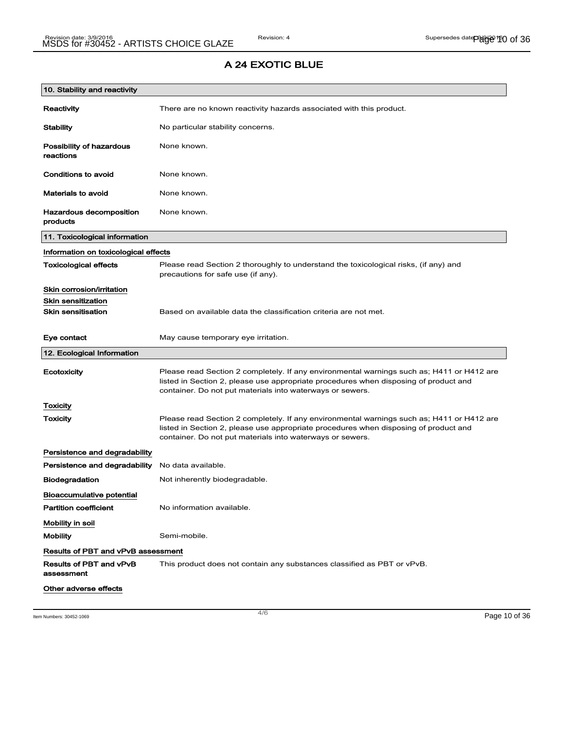| 10. Stability and reactivity              |                                                                                                                                                                                                                                                |
|-------------------------------------------|------------------------------------------------------------------------------------------------------------------------------------------------------------------------------------------------------------------------------------------------|
| Reactivity                                | There are no known reactivity hazards associated with this product.                                                                                                                                                                            |
| <b>Stability</b>                          | No particular stability concerns.                                                                                                                                                                                                              |
| Possibility of hazardous<br>reactions     | None known.                                                                                                                                                                                                                                    |
| Conditions to avoid                       | None known.                                                                                                                                                                                                                                    |
| <b>Materials to avoid</b>                 | None known.                                                                                                                                                                                                                                    |
| Hazardous decomposition<br>products       | None known.                                                                                                                                                                                                                                    |
| 11. Toxicological information             |                                                                                                                                                                                                                                                |
| Information on toxicological effects      |                                                                                                                                                                                                                                                |
| <b>Toxicological effects</b>              | Please read Section 2 thoroughly to understand the toxicological risks, (if any) and<br>precautions for safe use (if any).                                                                                                                     |
| Skin corrosion/irritation                 |                                                                                                                                                                                                                                                |
| <b>Skin sensitization</b>                 |                                                                                                                                                                                                                                                |
| <b>Skin sensitisation</b>                 | Based on available data the classification criteria are not met.                                                                                                                                                                               |
| Eye contact                               | May cause temporary eye irritation.                                                                                                                                                                                                            |
| 12. Ecological Information                |                                                                                                                                                                                                                                                |
| Ecotoxicity                               | Please read Section 2 completely. If any environmental warnings such as; H411 or H412 are<br>listed in Section 2, please use appropriate procedures when disposing of product and<br>container. Do not put materials into waterways or sewers. |
| Toxicity                                  |                                                                                                                                                                                                                                                |
| Toxicity                                  | Please read Section 2 completely. If any environmental warnings such as; H411 or H412 are<br>listed in Section 2, please use appropriate procedures when disposing of product and<br>container. Do not put materials into waterways or sewers. |
| Persistence and degradability             |                                                                                                                                                                                                                                                |
| Persistence and degradability             | No data available.                                                                                                                                                                                                                             |
| <b>Biodegradation</b>                     | Not inherently biodegradable.                                                                                                                                                                                                                  |
| <b>Bioaccumulative potential</b>          |                                                                                                                                                                                                                                                |
| <b>Partition coefficient</b>              | No information available.                                                                                                                                                                                                                      |
| Mobility in soil                          |                                                                                                                                                                                                                                                |
| <b>Mobility</b>                           | Semi-mobile.                                                                                                                                                                                                                                   |
| <b>Results of PBT and vPvB assessment</b> |                                                                                                                                                                                                                                                |
| Results of PBT and vPvB<br>assessment     | This product does not contain any substances classified as PBT or vPvB.                                                                                                                                                                        |
| Other adverse effects                     |                                                                                                                                                                                                                                                |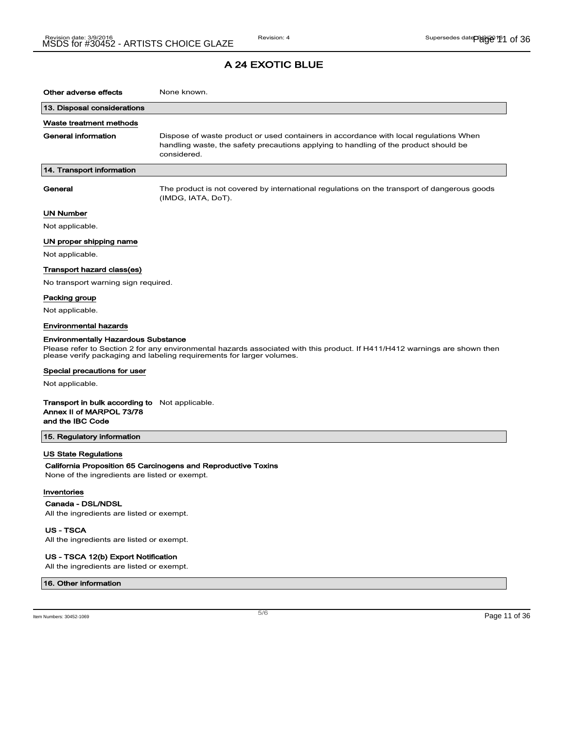| Other adverse effects                                                                                 | None known.                                                                                                                                                                                         |
|-------------------------------------------------------------------------------------------------------|-----------------------------------------------------------------------------------------------------------------------------------------------------------------------------------------------------|
| 13. Disposal considerations                                                                           |                                                                                                                                                                                                     |
| Waste treatment methods                                                                               |                                                                                                                                                                                                     |
| General information                                                                                   | Dispose of waste product or used containers in accordance with local regulations When<br>handling waste, the safety precautions applying to handling of the product should be<br>considered.        |
| 14. Transport information                                                                             |                                                                                                                                                                                                     |
| General                                                                                               | The product is not covered by international regulations on the transport of dangerous goods<br>(IMDG, IATA, DoT).                                                                                   |
| UN Number                                                                                             |                                                                                                                                                                                                     |
| Not applicable.                                                                                       |                                                                                                                                                                                                     |
| UN proper shipping name                                                                               |                                                                                                                                                                                                     |
| Not applicable.                                                                                       |                                                                                                                                                                                                     |
| Transport hazard class(es)                                                                            |                                                                                                                                                                                                     |
| No transport warning sign required.                                                                   |                                                                                                                                                                                                     |
| Packing group                                                                                         |                                                                                                                                                                                                     |
| Not applicable.                                                                                       |                                                                                                                                                                                                     |
| Environmental hazards                                                                                 |                                                                                                                                                                                                     |
| <b>Environmentally Hazardous Substance</b>                                                            |                                                                                                                                                                                                     |
|                                                                                                       | Please refer to Section 2 for any environmental hazards associated with this product. If H411/H412 warnings are shown then<br>please verify packaging and labeling requirements for larger volumes. |
| Special precautions for user                                                                          |                                                                                                                                                                                                     |
| Not applicable.                                                                                       |                                                                                                                                                                                                     |
| <b>Transport in bulk according to</b> Not applicable.<br>Annex II of MARPOL 73/78<br>and the IBC Code |                                                                                                                                                                                                     |
| 15. Regulatory information                                                                            |                                                                                                                                                                                                     |
| US State Regulations<br>None of the ingredients are listed or exempt.<br>Inventories                  | California Proposition 65 Carcinogens and Reproductive Toxins                                                                                                                                       |

#### Canada - DSL/NDSL

All the ingredients are listed or exempt.

US - TSCA

All the ingredients are listed or exempt.

#### US - TSCA 12(b) Export Notification

All the ingredients are listed or exempt.

#### 16. Other information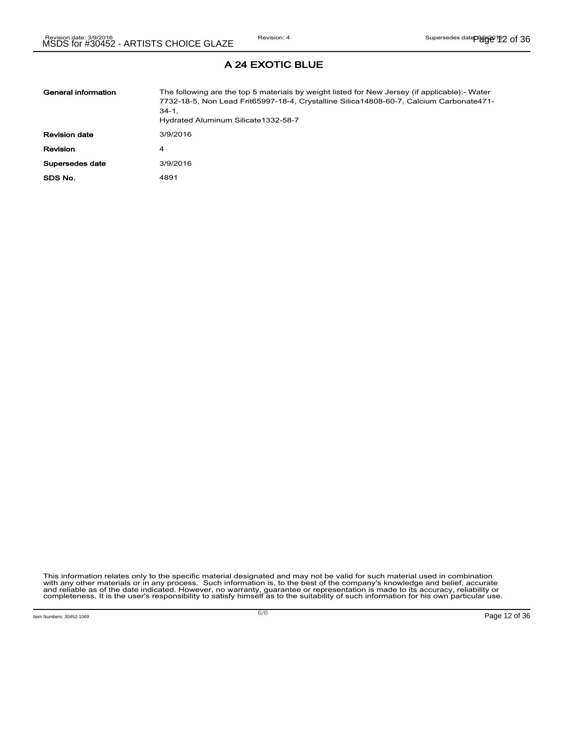| General information  | The following are the top 5 materials by weight listed for New Jersey (if applicable):- Water<br>7732-18-5, Non Lead Frit65997-18-4, Crystalline Silica14808-60-7, Calcium Carbonate471-<br>$34-1.$<br>Hydrated Aluminum Silicate 1332-58-7 |
|----------------------|---------------------------------------------------------------------------------------------------------------------------------------------------------------------------------------------------------------------------------------------|
| <b>Revision date</b> | 3/9/2016                                                                                                                                                                                                                                    |
| <b>Revision</b>      | 4                                                                                                                                                                                                                                           |
| Supersedes date      | 3/9/2016                                                                                                                                                                                                                                    |
| SDS No.              | 4891                                                                                                                                                                                                                                        |

This information relates only to the specific material designated and may not be valid for such material used in combination<br>with any other materials or in any process. Such information is, to the best of the company's kn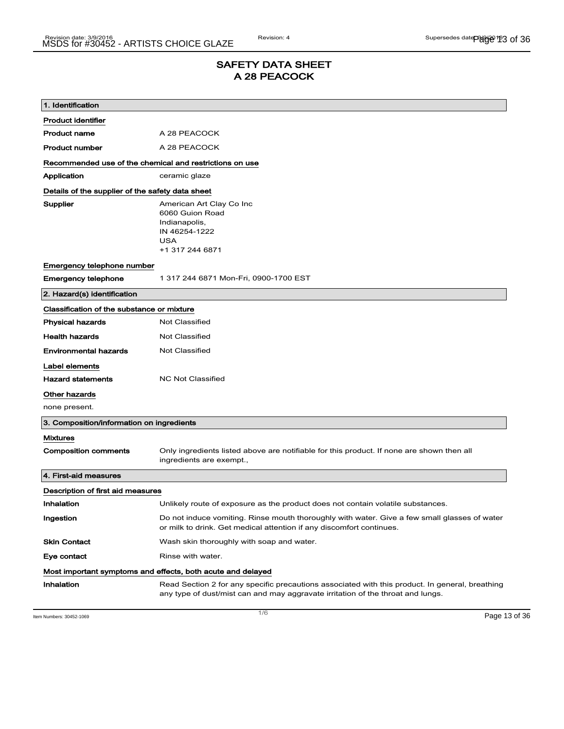### SAFETY DATA SHEET A 28 PEACOCK

| 1. Identification                                       |                                                                                                                                                                                    |
|---------------------------------------------------------|------------------------------------------------------------------------------------------------------------------------------------------------------------------------------------|
| <b>Product identifier</b>                               |                                                                                                                                                                                    |
| <b>Product name</b>                                     | A 28 PEACOCK                                                                                                                                                                       |
| <b>Product number</b>                                   | A 28 PEACOCK                                                                                                                                                                       |
| Recommended use of the chemical and restrictions on use |                                                                                                                                                                                    |
| Application                                             | ceramic glaze                                                                                                                                                                      |
| Details of the supplier of the safety data sheet        |                                                                                                                                                                                    |
| Supplier                                                | American Art Clay Co Inc<br>6060 Guion Road<br>Indianapolis,<br>IN 46254-1222<br><b>USA</b><br>+1 317 244 6871                                                                     |
| Emergency telephone number                              |                                                                                                                                                                                    |
| <b>Emergency telephone</b>                              | 1 317 244 6871 Mon-Fri, 0900-1700 EST                                                                                                                                              |
| 2. Hazard(s) identification                             |                                                                                                                                                                                    |
| Classification of the substance or mixture              |                                                                                                                                                                                    |
| <b>Physical hazards</b>                                 | <b>Not Classified</b>                                                                                                                                                              |
| <b>Health hazards</b>                                   | <b>Not Classified</b>                                                                                                                                                              |
| <b>Environmental hazards</b>                            | Not Classified                                                                                                                                                                     |
| Label elements                                          |                                                                                                                                                                                    |
| <b>Hazard statements</b>                                | <b>NC Not Classified</b>                                                                                                                                                           |
| Other hazards                                           |                                                                                                                                                                                    |
| none present.                                           |                                                                                                                                                                                    |
| 3. Composition/information on ingredients               |                                                                                                                                                                                    |
| <b>Mixtures</b>                                         |                                                                                                                                                                                    |
| <b>Composition comments</b>                             | Only ingredients listed above are notifiable for this product. If none are shown then all<br>ingredients are exempt.,                                                              |
| 4. First-aid measures                                   |                                                                                                                                                                                    |
| Description of first aid measures                       |                                                                                                                                                                                    |
| Inhalation                                              | Unlikely route of exposure as the product does not contain volatile substances.                                                                                                    |
| Ingestion                                               | Do not induce vomiting. Rinse mouth thoroughly with water. Give a few small glasses of water<br>or milk to drink. Get medical attention if any discomfort continues.               |
| <b>Skin Contact</b>                                     | Wash skin thoroughly with soap and water.                                                                                                                                          |
| Eye contact                                             | Rinse with water.                                                                                                                                                                  |
|                                                         | Most important symptoms and effects, both acute and delayed                                                                                                                        |
| Inhalation                                              | Read Section 2 for any specific precautions associated with this product. In general, breathing<br>any type of dust/mist can and may aggravate irritation of the throat and lungs. |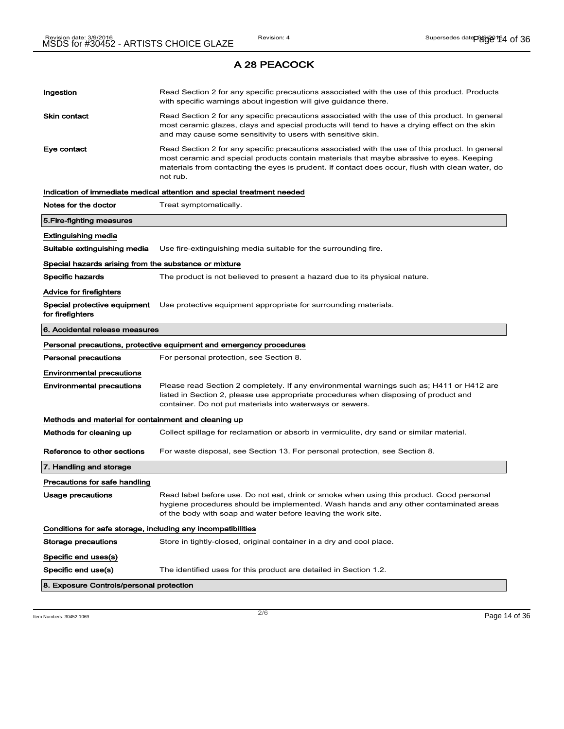| Ingestion                                                    | Read Section 2 for any specific precautions associated with the use of this product. Products<br>with specific warnings about ingestion will give guidance there.                                                                                                                                           |
|--------------------------------------------------------------|-------------------------------------------------------------------------------------------------------------------------------------------------------------------------------------------------------------------------------------------------------------------------------------------------------------|
| <b>Skin contact</b>                                          | Read Section 2 for any specific precautions associated with the use of this product. In general<br>most ceramic glazes, clays and special products will tend to have a drying effect on the skin<br>and may cause some sensitivity to users with sensitive skin.                                            |
| Eye contact                                                  | Read Section 2 for any specific precautions associated with the use of this product. In general<br>most ceramic and special products contain materials that maybe abrasive to eyes. Keeping<br>materials from contacting the eyes is prudent. If contact does occur, flush with clean water, do<br>not rub. |
|                                                              | Indication of immediate medical attention and special treatment needed                                                                                                                                                                                                                                      |
| Notes for the doctor                                         | Treat symptomatically.                                                                                                                                                                                                                                                                                      |
| 5. Fire-fighting measures                                    |                                                                                                                                                                                                                                                                                                             |
| Extinguishing media                                          |                                                                                                                                                                                                                                                                                                             |
| Suitable extinguishing media                                 | Use fire-extinguishing media suitable for the surrounding fire.                                                                                                                                                                                                                                             |
| Special hazards arising from the substance or mixture        |                                                                                                                                                                                                                                                                                                             |
| Specific hazards                                             | The product is not believed to present a hazard due to its physical nature.                                                                                                                                                                                                                                 |
| <b>Advice for firefighters</b>                               |                                                                                                                                                                                                                                                                                                             |
| Special protective equipment<br>for firefighters             | Use protective equipment appropriate for surrounding materials.                                                                                                                                                                                                                                             |
| 6. Accidental release measures                               |                                                                                                                                                                                                                                                                                                             |
|                                                              | Personal precautions, protective equipment and emergency procedures                                                                                                                                                                                                                                         |
| <b>Personal precautions</b>                                  | For personal protection, see Section 8.                                                                                                                                                                                                                                                                     |
| <b>Environmental precautions</b>                             |                                                                                                                                                                                                                                                                                                             |
| <b>Environmental precautions</b>                             | Please read Section 2 completely. If any environmental warnings such as; H411 or H412 are<br>listed in Section 2, please use appropriate procedures when disposing of product and<br>container. Do not put materials into waterways or sewers.                                                              |
| Methods and material for containment and cleaning up         |                                                                                                                                                                                                                                                                                                             |
| Methods for cleaning up                                      | Collect spillage for reclamation or absorb in vermiculite, dry sand or similar material.                                                                                                                                                                                                                    |
| Reference to other sections                                  | For waste disposal, see Section 13. For personal protection, see Section 8.                                                                                                                                                                                                                                 |
| 7. Handling and storage                                      |                                                                                                                                                                                                                                                                                                             |
| Precautions for safe handling                                |                                                                                                                                                                                                                                                                                                             |
| Usage precautions                                            | Read label before use. Do not eat, drink or smoke when using this product. Good personal<br>hygiene procedures should be implemented. Wash hands and any other contaminated areas<br>of the body with soap and water before leaving the work site.                                                          |
| Conditions for safe storage, including any incompatibilities |                                                                                                                                                                                                                                                                                                             |
| Storage precautions                                          | Store in tightly-closed, original container in a dry and cool place.                                                                                                                                                                                                                                        |
| Specific end uses(s)                                         |                                                                                                                                                                                                                                                                                                             |
| Specific end use(s)                                          | The identified uses for this product are detailed in Section 1.2.                                                                                                                                                                                                                                           |
| 8. Exposure Controls/personal protection                     |                                                                                                                                                                                                                                                                                                             |

 $2/6$  Item Numbers: 30452-1069 **Page 14 of 36**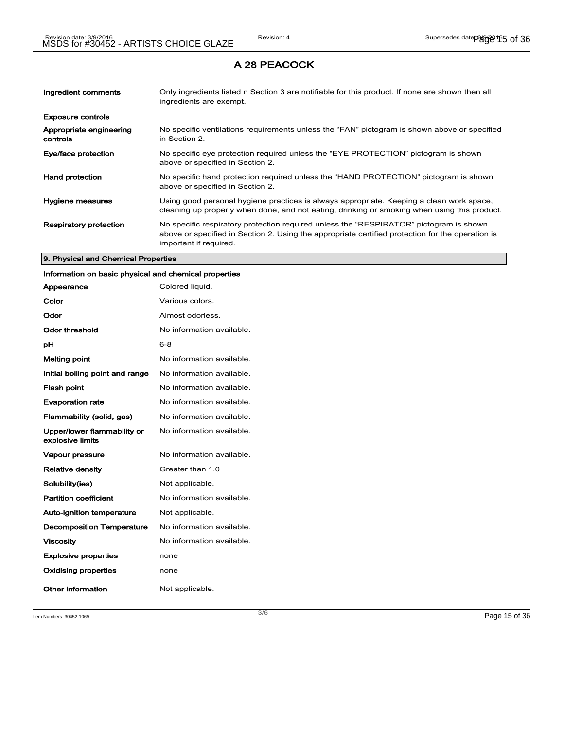| Ingredient comments                 | Only ingredients listed n Section 3 are notifiable for this product. If none are shown then all<br>ingredients are exempt.                                                                                           |
|-------------------------------------|----------------------------------------------------------------------------------------------------------------------------------------------------------------------------------------------------------------------|
| <b>Exposure controls</b>            |                                                                                                                                                                                                                      |
| Appropriate engineering<br>controls | No specific ventilations requirements unless the "FAN" pictogram is shown above or specified<br>in Section 2.                                                                                                        |
| Eye/face protection                 | No specific eye protection required unless the "EYE PROTECTION" pictogram is shown<br>above or specified in Section 2.                                                                                               |
| <b>Hand protection</b>              | No specific hand protection required unless the "HAND PROTECTION" pictogram is shown<br>above or specified in Section 2.                                                                                             |
| Hygiene measures                    | Using good personal hygiene practices is always appropriate. Keeping a clean work space,<br>cleaning up properly when done, and not eating, drinking or smoking when using this product.                             |
| <b>Respiratory protection</b>       | No specific respiratory protection required unless the "RESPIRATOR" pictogram is shown<br>above or specified in Section 2. Using the appropriate certified protection for the operation is<br>important if required. |

#### 9. Physical and Chemical Properties

### Information on basic physical and chemical properties

| Appearance                                      | Colored liquid.           |
|-------------------------------------------------|---------------------------|
| Color                                           | Various colors.           |
| Odor                                            | Almost odorless.          |
| Odor threshold                                  | No information available. |
| рH                                              | $6 - 8$                   |
| <b>Melting point</b>                            | No information available. |
| Initial boiling point and range                 | No information available. |
| <b>Flash point</b>                              | No information available. |
| <b>Evaporation rate</b>                         | No information available. |
| Flammability (solid, gas)                       | No information available. |
| Upper/lower flammability or<br>explosive limits | No information available. |
| Vapour pressure                                 | No information available. |
| <b>Relative density</b>                         | Greater than 1.0          |
| Solubility(ies)                                 | Not applicable.           |
| <b>Partition coefficient</b>                    | No information available. |
| Auto-ignition temperature                       | Not applicable.           |
| <b>Decomposition Temperature</b>                | No information available. |
| <b>Viscosity</b>                                | No information available. |
| <b>Explosive properties</b>                     | none                      |
| Oxidising properties                            | none                      |
| Other information                               | Not applicable.           |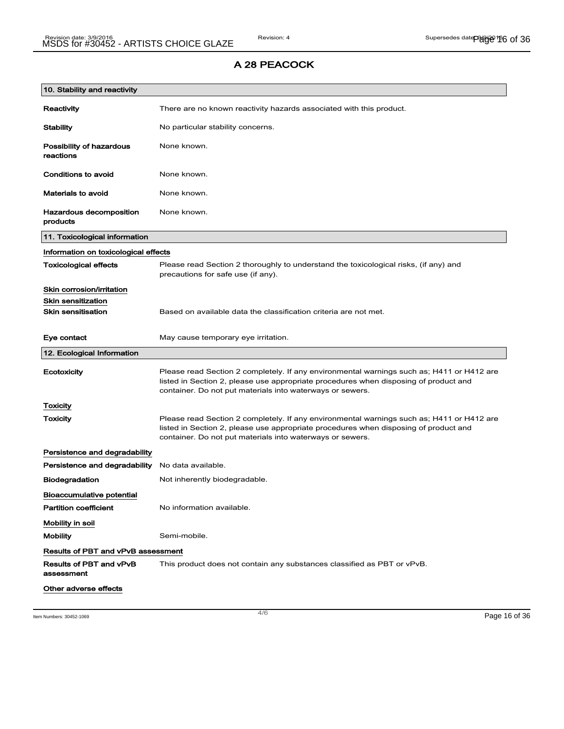| 10. Stability and reactivity               |                                                                                                                                                                                                                                                |
|--------------------------------------------|------------------------------------------------------------------------------------------------------------------------------------------------------------------------------------------------------------------------------------------------|
| Reactivity                                 | There are no known reactivity hazards associated with this product.                                                                                                                                                                            |
| <b>Stability</b>                           | No particular stability concerns.                                                                                                                                                                                                              |
| Possibility of hazardous<br>reactions      | None known.                                                                                                                                                                                                                                    |
| <b>Conditions to avoid</b>                 | None known.                                                                                                                                                                                                                                    |
| <b>Materials to avoid</b>                  | None known.                                                                                                                                                                                                                                    |
| <b>Hazardous decomposition</b><br>products | None known.                                                                                                                                                                                                                                    |
| 11. Toxicological information              |                                                                                                                                                                                                                                                |
| Information on toxicological effects       |                                                                                                                                                                                                                                                |
| <b>Toxicological effects</b>               | Please read Section 2 thoroughly to understand the toxicological risks, (if any) and<br>precautions for safe use (if any).                                                                                                                     |
| Skin corrosion/irritation                  |                                                                                                                                                                                                                                                |
| <b>Skin sensitization</b>                  |                                                                                                                                                                                                                                                |
| <b>Skin sensitisation</b>                  | Based on available data the classification criteria are not met.                                                                                                                                                                               |
| Eye contact                                | May cause temporary eye irritation.                                                                                                                                                                                                            |
| 12. Ecological Information                 |                                                                                                                                                                                                                                                |
| Ecotoxicity                                | Please read Section 2 completely. If any environmental warnings such as; H411 or H412 are<br>listed in Section 2, please use appropriate procedures when disposing of product and<br>container. Do not put materials into waterways or sewers. |
| Toxicity                                   |                                                                                                                                                                                                                                                |
| Toxicity                                   | Please read Section 2 completely. If any environmental warnings such as; H411 or H412 are<br>listed in Section 2, please use appropriate procedures when disposing of product and<br>container. Do not put materials into waterways or sewers. |
| Persistence and degradability              |                                                                                                                                                                                                                                                |
| Persistence and degradability              | No data available.                                                                                                                                                                                                                             |
| <b>Biodegradation</b>                      | Not inherently biodegradable.                                                                                                                                                                                                                  |
| Bioaccumulative potential                  |                                                                                                                                                                                                                                                |
| <b>Partition coefficient</b>               | No information available.                                                                                                                                                                                                                      |
| Mobility in soil                           |                                                                                                                                                                                                                                                |
| <b>Mobility</b>                            | Semi-mobile.                                                                                                                                                                                                                                   |
| <b>Results of PBT and vPvB assessment</b>  |                                                                                                                                                                                                                                                |
| Results of PBT and vPvB<br>assessment      | This product does not contain any substances classified as PBT or vPvB.                                                                                                                                                                        |
| Other adverse effects                      |                                                                                                                                                                                                                                                |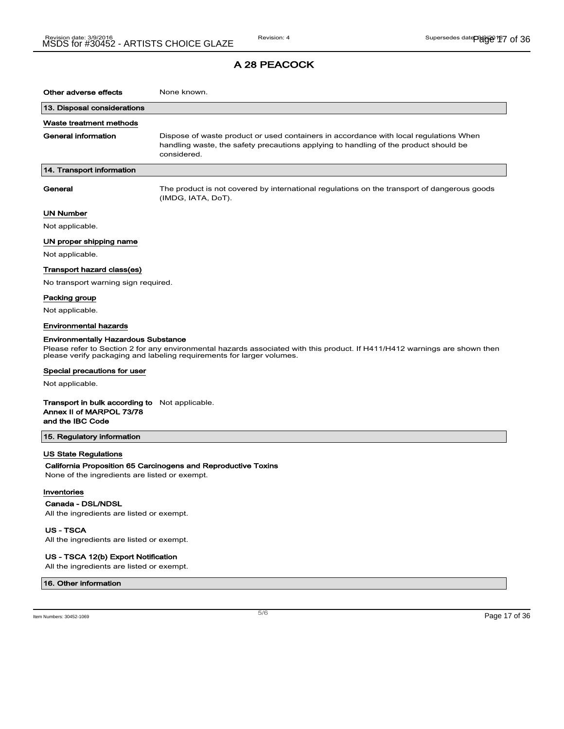| Other adverse effects                                                          | None known.                                                                                                                                                                                         |
|--------------------------------------------------------------------------------|-----------------------------------------------------------------------------------------------------------------------------------------------------------------------------------------------------|
| 13. Disposal considerations                                                    |                                                                                                                                                                                                     |
| Waste treatment methods                                                        |                                                                                                                                                                                                     |
| <b>General information</b>                                                     | Dispose of waste product or used containers in accordance with local regulations When<br>handling waste, the safety precautions applying to handling of the product should be<br>considered.        |
| 14. Transport information                                                      |                                                                                                                                                                                                     |
| General                                                                        | The product is not covered by international regulations on the transport of dangerous goods<br>(IMDG, IATA, DoT).                                                                                   |
| <b>UN Number</b>                                                               |                                                                                                                                                                                                     |
| Not applicable.                                                                |                                                                                                                                                                                                     |
| UN proper shipping name                                                        |                                                                                                                                                                                                     |
| Not applicable.                                                                |                                                                                                                                                                                                     |
| Transport hazard class(es)                                                     |                                                                                                                                                                                                     |
| No transport warning sign required.                                            |                                                                                                                                                                                                     |
| Packing group                                                                  |                                                                                                                                                                                                     |
| Not applicable.                                                                |                                                                                                                                                                                                     |
| <b>Environmental hazards</b>                                                   |                                                                                                                                                                                                     |
| <b>Environmentally Hazardous Substance</b>                                     |                                                                                                                                                                                                     |
|                                                                                | Please refer to Section 2 for any environmental hazards associated with this product. If H411/H412 warnings are shown then<br>please verify packaging and labeling requirements for larger volumes. |
| Special precautions for user                                                   |                                                                                                                                                                                                     |
| Not applicable.                                                                |                                                                                                                                                                                                     |
| Transport in bulk according to<br>Annex II of MARPOL 73/78<br>and the IBC Code | Not applicable.                                                                                                                                                                                     |
| 15. Regulatory information                                                     |                                                                                                                                                                                                     |
| <b>US State Regulations</b>                                                    |                                                                                                                                                                                                     |

#### California Proposition 65 Carcinogens and Reproductive Toxins

None of the ingredients are listed or exempt.

#### Inventories

Canada - DSL/NDSL

All the ingredients are listed or exempt.

US - TSCA

All the ingredients are listed or exempt.

#### US - TSCA 12(b) Export Notification

All the ingredients are listed or exempt.

#### 16. Other information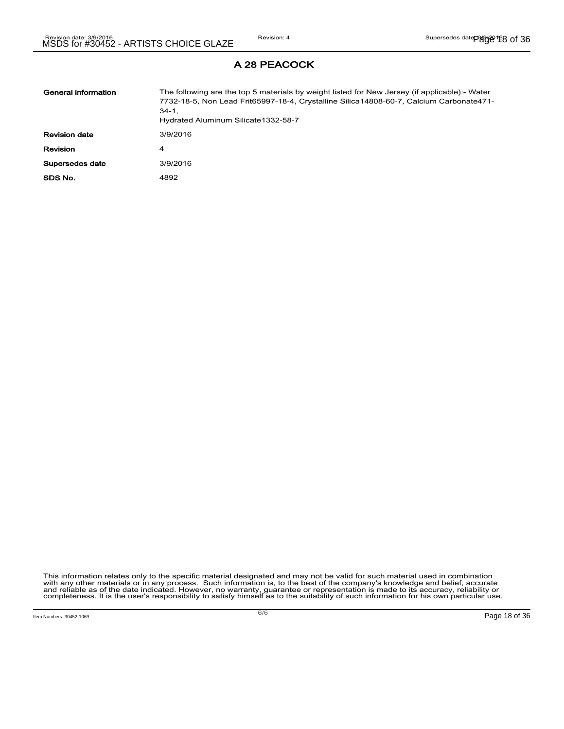| General information  | The following are the top 5 materials by weight listed for New Jersey (if applicable):- Water<br>7732-18-5, Non Lead Frit65997-18-4, Crystalline Silica14808-60-7, Calcium Carbonate471-<br>$34-1.$<br>Hydrated Aluminum Silicate 1332-58-7 |
|----------------------|---------------------------------------------------------------------------------------------------------------------------------------------------------------------------------------------------------------------------------------------|
| <b>Revision date</b> | 3/9/2016                                                                                                                                                                                                                                    |
| Revision             | 4                                                                                                                                                                                                                                           |
| Supersedes date      | 3/9/2016                                                                                                                                                                                                                                    |
| SDS No.              | 4892                                                                                                                                                                                                                                        |

This information relates only to the specific material designated and may not be valid for such material used in combination<br>with any other materials or in any process. Such information is, to the best of the company's kn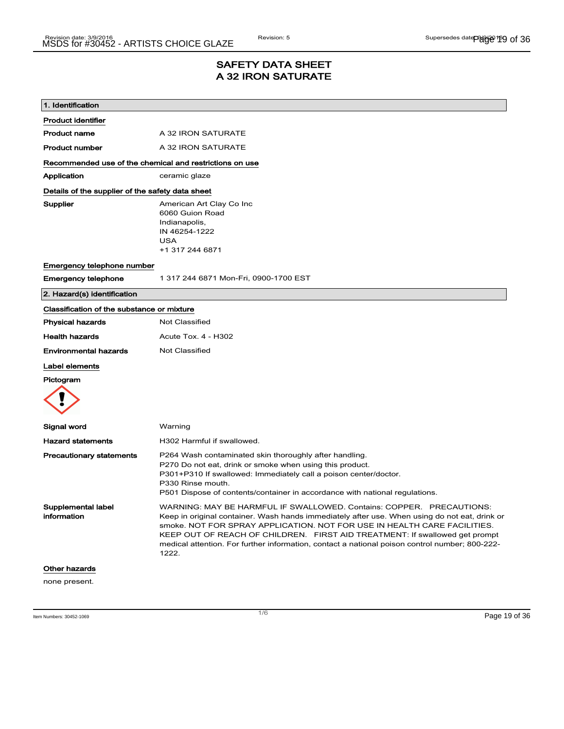### SAFETY DATA SHEET A 32 IRON SATURATE

| 1. Identification                                       |                                                                                                                                                                                                                                                                                                                                                                                                                                             |
|---------------------------------------------------------|---------------------------------------------------------------------------------------------------------------------------------------------------------------------------------------------------------------------------------------------------------------------------------------------------------------------------------------------------------------------------------------------------------------------------------------------|
| <b>Product identifier</b>                               |                                                                                                                                                                                                                                                                                                                                                                                                                                             |
| <b>Product name</b>                                     | A 32 IRON SATURATE                                                                                                                                                                                                                                                                                                                                                                                                                          |
| <b>Product number</b>                                   | A 32 IRON SATURATE                                                                                                                                                                                                                                                                                                                                                                                                                          |
| Recommended use of the chemical and restrictions on use |                                                                                                                                                                                                                                                                                                                                                                                                                                             |
| Application                                             | ceramic glaze                                                                                                                                                                                                                                                                                                                                                                                                                               |
| Details of the supplier of the safety data sheet        |                                                                                                                                                                                                                                                                                                                                                                                                                                             |
| Supplier                                                | American Art Clay Co Inc<br>6060 Guion Road<br>Indianapolis,<br>IN 46254-1222<br><b>USA</b><br>+1 317 244 6871                                                                                                                                                                                                                                                                                                                              |
| Emergency telephone number                              |                                                                                                                                                                                                                                                                                                                                                                                                                                             |
| <b>Emergency telephone</b>                              | 1 317 244 6871 Mon-Fri, 0900-1700 EST                                                                                                                                                                                                                                                                                                                                                                                                       |
| 2. Hazard(s) identification                             |                                                                                                                                                                                                                                                                                                                                                                                                                                             |
| Classification of the substance or mixture              |                                                                                                                                                                                                                                                                                                                                                                                                                                             |
| <b>Physical hazards</b>                                 | Not Classified                                                                                                                                                                                                                                                                                                                                                                                                                              |
| <b>Health hazards</b>                                   | Acute Tox. 4 - H302                                                                                                                                                                                                                                                                                                                                                                                                                         |
| <b>Environmental hazards</b>                            | <b>Not Classified</b>                                                                                                                                                                                                                                                                                                                                                                                                                       |
| Label elements<br>Pictogram                             |                                                                                                                                                                                                                                                                                                                                                                                                                                             |
| Signal word                                             | Warning                                                                                                                                                                                                                                                                                                                                                                                                                                     |
| <b>Hazard statements</b>                                | H302 Harmful if swallowed.                                                                                                                                                                                                                                                                                                                                                                                                                  |
| <b>Precautionary statements</b>                         | P264 Wash contaminated skin thoroughly after handling.<br>P270 Do not eat, drink or smoke when using this product.<br>P301+P310 If swallowed: Immediately call a poison center/doctor.<br>P330 Rinse mouth.<br>P501 Dispose of contents/container in accordance with national regulations.                                                                                                                                                  |
| Supplemental label<br>information                       | WARNING: MAY BE HARMFUL IF SWALLOWED. Contains: COPPER. PRECAUTIONS:<br>Keep in original container. Wash hands immediately after use. When using do not eat, drink or<br>smoke. NOT FOR SPRAY APPLICATION. NOT FOR USE IN HEALTH CARE FACILITIES.<br>KEEP OUT OF REACH OF CHILDREN. FIRST AID TREATMENT: If swallowed get prompt<br>medical attention. For further information, contact a national poison control number; 800-222-<br>1222. |
| <b>Other hazards</b>                                    |                                                                                                                                                                                                                                                                                                                                                                                                                                             |
| none present.                                           |                                                                                                                                                                                                                                                                                                                                                                                                                                             |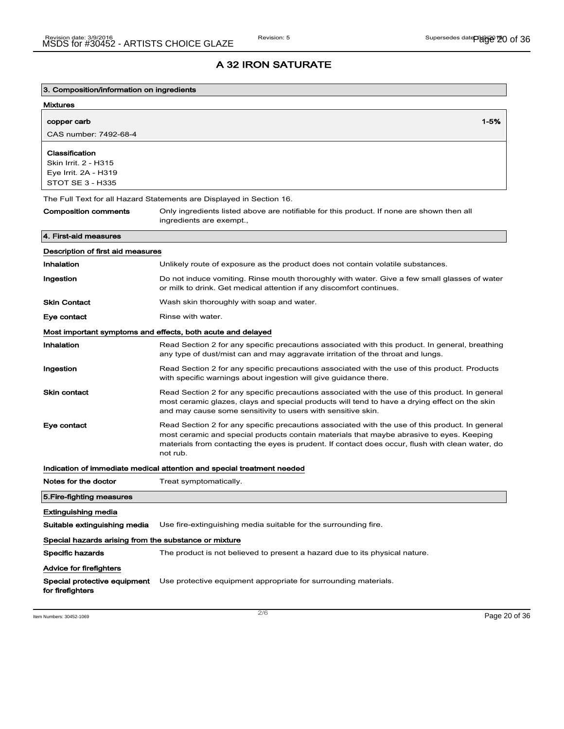| 3. Composition/information on ingredients                                                 |                                                                                                                                                                                                                                                                                                             |
|-------------------------------------------------------------------------------------------|-------------------------------------------------------------------------------------------------------------------------------------------------------------------------------------------------------------------------------------------------------------------------------------------------------------|
| <b>Mixtures</b>                                                                           |                                                                                                                                                                                                                                                                                                             |
| copper carb                                                                               | 1-5%                                                                                                                                                                                                                                                                                                        |
| CAS number: 7492-68-4                                                                     |                                                                                                                                                                                                                                                                                                             |
| Classification<br>Skin Irrit. 2 - H315<br>Eye Irrit. 2A - H319<br><b>STOT SE 3 - H335</b> |                                                                                                                                                                                                                                                                                                             |
|                                                                                           | The Full Text for all Hazard Statements are Displayed in Section 16.                                                                                                                                                                                                                                        |
| <b>Composition comments</b>                                                               | Only ingredients listed above are notifiable for this product. If none are shown then all<br>ingredients are exempt.,                                                                                                                                                                                       |
| 4. First-aid measures                                                                     |                                                                                                                                                                                                                                                                                                             |
| Description of first aid measures                                                         |                                                                                                                                                                                                                                                                                                             |
| Inhalation                                                                                | Unlikely route of exposure as the product does not contain volatile substances.                                                                                                                                                                                                                             |
| Ingestion                                                                                 | Do not induce vomiting. Rinse mouth thoroughly with water. Give a few small glasses of water<br>or milk to drink. Get medical attention if any discomfort continues.                                                                                                                                        |
| <b>Skin Contact</b>                                                                       | Wash skin thoroughly with soap and water.                                                                                                                                                                                                                                                                   |
| Eye contact                                                                               | Rinse with water.                                                                                                                                                                                                                                                                                           |
|                                                                                           | Most important symptoms and effects, both acute and delayed                                                                                                                                                                                                                                                 |
| Inhalation                                                                                | Read Section 2 for any specific precautions associated with this product. In general, breathing<br>any type of dust/mist can and may aggravate irritation of the throat and lungs.                                                                                                                          |
| Ingestion                                                                                 | Read Section 2 for any specific precautions associated with the use of this product. Products<br>with specific warnings about ingestion will give guidance there.                                                                                                                                           |
| <b>Skin contact</b>                                                                       | Read Section 2 for any specific precautions associated with the use of this product. In general<br>most ceramic glazes, clays and special products will tend to have a drying effect on the skin<br>and may cause some sensitivity to users with sensitive skin.                                            |
| Eye contact                                                                               | Read Section 2 for any specific precautions associated with the use of this product. In general<br>most ceramic and special products contain materials that maybe abrasive to eyes. Keeping<br>materials from contacting the eyes is prudent. If contact does occur, flush with clean water, do<br>not rub. |
|                                                                                           | Indication of immediate medical attention and special treatment needed                                                                                                                                                                                                                                      |
| Notes for the doctor                                                                      | Treat symptomatically.                                                                                                                                                                                                                                                                                      |
| 5. Fire-fighting measures                                                                 |                                                                                                                                                                                                                                                                                                             |
| Extinguishing media                                                                       |                                                                                                                                                                                                                                                                                                             |
| Suitable extinguishing media                                                              | Use fire-extinguishing media suitable for the surrounding fire.                                                                                                                                                                                                                                             |
| Special hazards arising from the substance or mixture                                     |                                                                                                                                                                                                                                                                                                             |
| Specific hazards                                                                          | The product is not believed to present a hazard due to its physical nature.                                                                                                                                                                                                                                 |
| Advice for firefighters                                                                   |                                                                                                                                                                                                                                                                                                             |
| Special protective equipment<br>for firefighters                                          | Use protective equipment appropriate for surrounding materials.                                                                                                                                                                                                                                             |

Item Numbers:  $30452-1069$   $Page\ 20 of\ 36$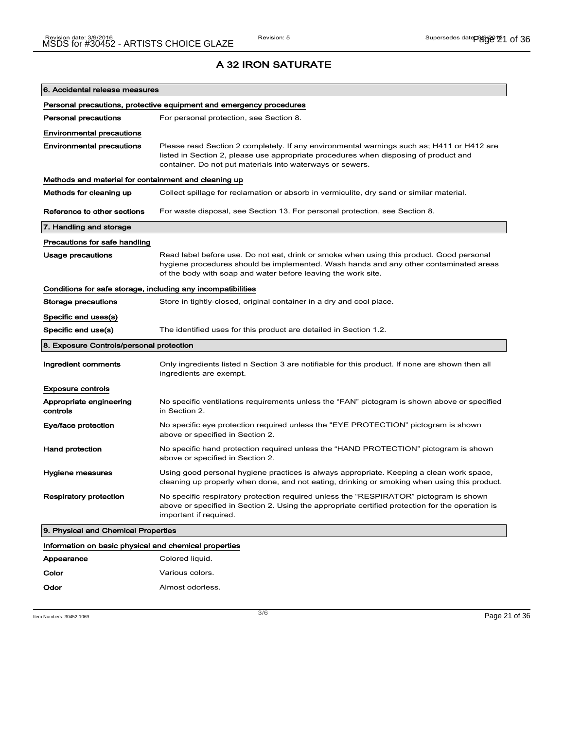| 6. Accidental release measures                               |                                                                                                                                                                                                                                                    |
|--------------------------------------------------------------|----------------------------------------------------------------------------------------------------------------------------------------------------------------------------------------------------------------------------------------------------|
|                                                              | Personal precautions, protective equipment and emergency procedures                                                                                                                                                                                |
| <b>Personal precautions</b>                                  | For personal protection, see Section 8.                                                                                                                                                                                                            |
| <b>Environmental precautions</b>                             |                                                                                                                                                                                                                                                    |
| <b>Environmental precautions</b>                             | Please read Section 2 completely. If any environmental warnings such as; H411 or H412 are<br>listed in Section 2, please use appropriate procedures when disposing of product and<br>container. Do not put materials into waterways or sewers.     |
| Methods and material for containment and cleaning up         |                                                                                                                                                                                                                                                    |
| Methods for cleaning up                                      | Collect spillage for reclamation or absorb in vermiculite, dry sand or similar material.                                                                                                                                                           |
| Reference to other sections                                  | For waste disposal, see Section 13. For personal protection, see Section 8.                                                                                                                                                                        |
| 7. Handling and storage                                      |                                                                                                                                                                                                                                                    |
| Precautions for safe handling                                |                                                                                                                                                                                                                                                    |
| Usage precautions                                            | Read label before use. Do not eat, drink or smoke when using this product. Good personal<br>hygiene procedures should be implemented. Wash hands and any other contaminated areas<br>of the body with soap and water before leaving the work site. |
| Conditions for safe storage, including any incompatibilities |                                                                                                                                                                                                                                                    |
| <b>Storage precautions</b>                                   | Store in tightly-closed, original container in a dry and cool place.                                                                                                                                                                               |
| Specific end uses(s)                                         |                                                                                                                                                                                                                                                    |
| Specific end use(s)                                          | The identified uses for this product are detailed in Section 1.2.                                                                                                                                                                                  |
|                                                              |                                                                                                                                                                                                                                                    |
| 8. Exposure Controls/personal protection                     |                                                                                                                                                                                                                                                    |
| Ingredient comments                                          | Only ingredients listed n Section 3 are notifiable for this product. If none are shown then all<br>ingredients are exempt.                                                                                                                         |
| <b>Exposure controls</b>                                     |                                                                                                                                                                                                                                                    |
| Appropriate engineering<br>controls                          | No specific ventilations requirements unless the "FAN" pictogram is shown above or specified<br>in Section 2.                                                                                                                                      |
| Eye/face protection                                          | No specific eye protection required unless the "EYE PROTECTION" pictogram is shown<br>above or specified in Section 2.                                                                                                                             |
| <b>Hand protection</b>                                       | No specific hand protection required unless the "HAND PROTECTION" pictogram is shown<br>above or specified in Section 2.                                                                                                                           |
| <b>Hygiene measures</b>                                      | Using good personal hygiene practices is always appropriate. Keeping a clean work space,<br>cleaning up properly when done, and not eating, drinking or smoking when using this product.                                                           |
| <b>Respiratory protection</b>                                | No specific respiratory protection required unless the "RESPIRATOR" pictogram is shown<br>above or specified in Section 2. Using the appropriate certified protection for the operation is<br>important if required.                               |
| 9. Physical and Chemical Properties                          |                                                                                                                                                                                                                                                    |
| Information on basic physical and chemical properties        |                                                                                                                                                                                                                                                    |
| Appearance                                                   | Colored liquid.                                                                                                                                                                                                                                    |
| Color                                                        | Various colors.                                                                                                                                                                                                                                    |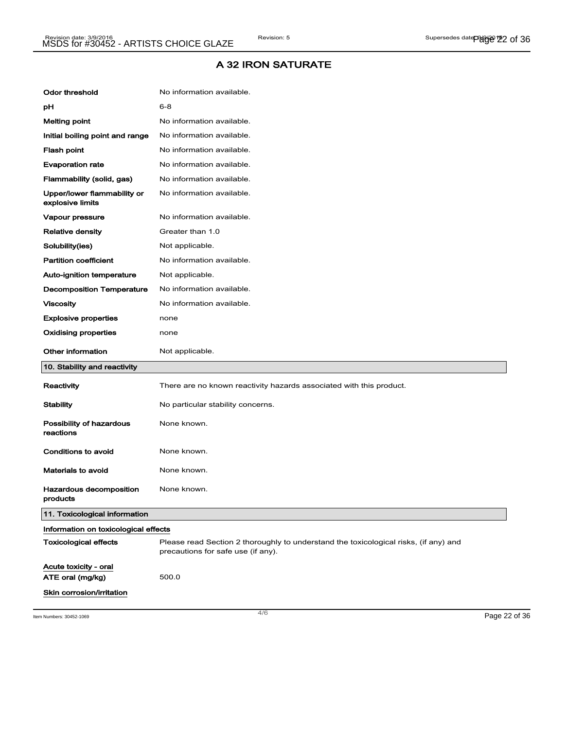| <b>Odor threshold</b>                           | No information available.                                                                                                  |  |
|-------------------------------------------------|----------------------------------------------------------------------------------------------------------------------------|--|
| рH                                              | $6 - 8$                                                                                                                    |  |
| <b>Melting point</b>                            | No information available.                                                                                                  |  |
| Initial boiling point and range                 | No information available.                                                                                                  |  |
| Flash point                                     | No information available.                                                                                                  |  |
| <b>Evaporation rate</b>                         | No information available.                                                                                                  |  |
| Flammability (solid, gas)                       | No information available.                                                                                                  |  |
| Upper/lower flammability or<br>explosive limits | No information available.                                                                                                  |  |
| Vapour pressure                                 | No information available.                                                                                                  |  |
| <b>Relative density</b>                         | Greater than 1.0                                                                                                           |  |
| Solubility(ies)                                 | Not applicable.                                                                                                            |  |
| <b>Partition coefficient</b>                    | No information available.                                                                                                  |  |
| Auto-ignition temperature                       | Not applicable.                                                                                                            |  |
| <b>Decomposition Temperature</b>                | No information available.                                                                                                  |  |
| <b>Viscosity</b>                                | No information available.                                                                                                  |  |
| <b>Explosive properties</b>                     | none                                                                                                                       |  |
| <b>Oxidising properties</b>                     | none                                                                                                                       |  |
|                                                 |                                                                                                                            |  |
| <b>Other information</b>                        | Not applicable.                                                                                                            |  |
| 10. Stability and reactivity                    |                                                                                                                            |  |
| Reactivity                                      | There are no known reactivity hazards associated with this product.                                                        |  |
| <b>Stability</b>                                | No particular stability concerns.                                                                                          |  |
| Possibility of hazardous<br>reactions           | None known.                                                                                                                |  |
| Conditions to avoid                             | None known.                                                                                                                |  |
| <b>Materials to avoid</b>                       | None known.                                                                                                                |  |
| Hazardous decomposition<br>products             | None known.                                                                                                                |  |
| 11. Toxicological information                   |                                                                                                                            |  |
| Information on toxicological effects            |                                                                                                                            |  |
| <b>Toxicological effects</b>                    | Please read Section 2 thoroughly to understand the toxicological risks, (if any) and<br>precautions for safe use (if any). |  |
| Acute toxicity - oral<br>ATE oral (mg/kg)       | 500.0                                                                                                                      |  |

Item Numbers: 30452-1069 Page 22 of 36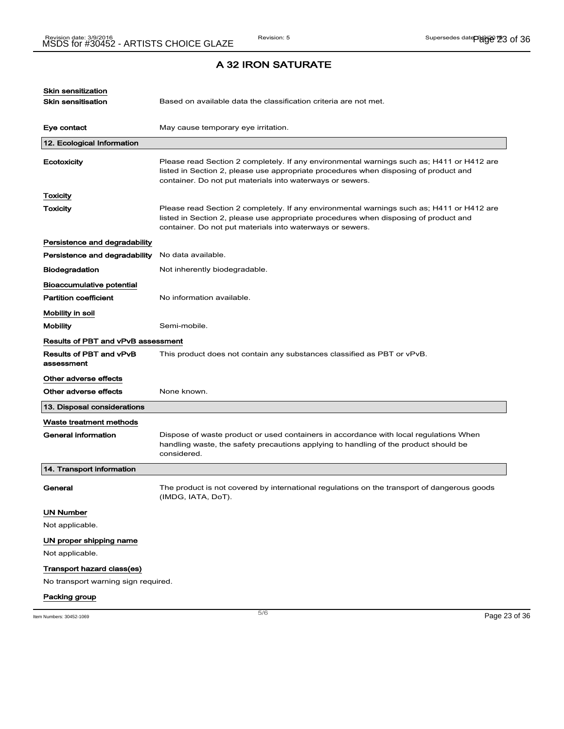| Eye contact<br>12. Ecological Information<br>Ecotoxicity | May cause temporary eye irritation.<br>Please read Section 2 completely. If any environmental warnings such as; H411 or H412 are<br>listed in Section 2, please use appropriate procedures when disposing of product and<br>container. Do not put materials into waterways or sewers. |               |
|----------------------------------------------------------|---------------------------------------------------------------------------------------------------------------------------------------------------------------------------------------------------------------------------------------------------------------------------------------|---------------|
|                                                          |                                                                                                                                                                                                                                                                                       |               |
|                                                          |                                                                                                                                                                                                                                                                                       |               |
|                                                          |                                                                                                                                                                                                                                                                                       |               |
| Toxicity                                                 |                                                                                                                                                                                                                                                                                       |               |
| <b>Toxicity</b>                                          | Please read Section 2 completely. If any environmental warnings such as; H411 or H412 are<br>listed in Section 2, please use appropriate procedures when disposing of product and<br>container. Do not put materials into waterways or sewers.                                        |               |
| Persistence and degradability                            |                                                                                                                                                                                                                                                                                       |               |
| Persistence and degradability                            | No data available.                                                                                                                                                                                                                                                                    |               |
| <b>Biodegradation</b>                                    | Not inherently biodegradable.                                                                                                                                                                                                                                                         |               |
| Bioaccumulative potential                                |                                                                                                                                                                                                                                                                                       |               |
| <b>Partition coefficient</b>                             | No information available.                                                                                                                                                                                                                                                             |               |
| Mobility in soil                                         |                                                                                                                                                                                                                                                                                       |               |
| <b>Mobility</b>                                          | Semi-mobile.                                                                                                                                                                                                                                                                          |               |
| Results of PBT and vPvB assessment                       |                                                                                                                                                                                                                                                                                       |               |
| Results of PBT and vPvB<br>assessment                    | This product does not contain any substances classified as PBT or vPvB.                                                                                                                                                                                                               |               |
| Other adverse effects                                    |                                                                                                                                                                                                                                                                                       |               |
| Other adverse effects                                    | None known.                                                                                                                                                                                                                                                                           |               |
| 13. Disposal considerations                              |                                                                                                                                                                                                                                                                                       |               |
| Waste treatment methods                                  |                                                                                                                                                                                                                                                                                       |               |
| <b>General information</b>                               | Dispose of waste product or used containers in accordance with local regulations When<br>handling waste, the safety precautions applying to handling of the product should be<br>considered.                                                                                          |               |
| 14. Transport information                                |                                                                                                                                                                                                                                                                                       |               |
| General                                                  | The product is not covered by international regulations on the transport of dangerous goods<br>(IMDG, IATA, DoT).                                                                                                                                                                     |               |
| <b>UN Number</b>                                         |                                                                                                                                                                                                                                                                                       |               |
| Not applicable.                                          |                                                                                                                                                                                                                                                                                       |               |
| UN proper shipping name                                  |                                                                                                                                                                                                                                                                                       |               |
| Not applicable.                                          |                                                                                                                                                                                                                                                                                       |               |
| Transport hazard class(es)                               |                                                                                                                                                                                                                                                                                       |               |
| No transport warning sign required.                      |                                                                                                                                                                                                                                                                                       |               |
| Packing group                                            |                                                                                                                                                                                                                                                                                       |               |
| Item Numbers: 30452-1069                                 | 5/6                                                                                                                                                                                                                                                                                   | Page 23 of 36 |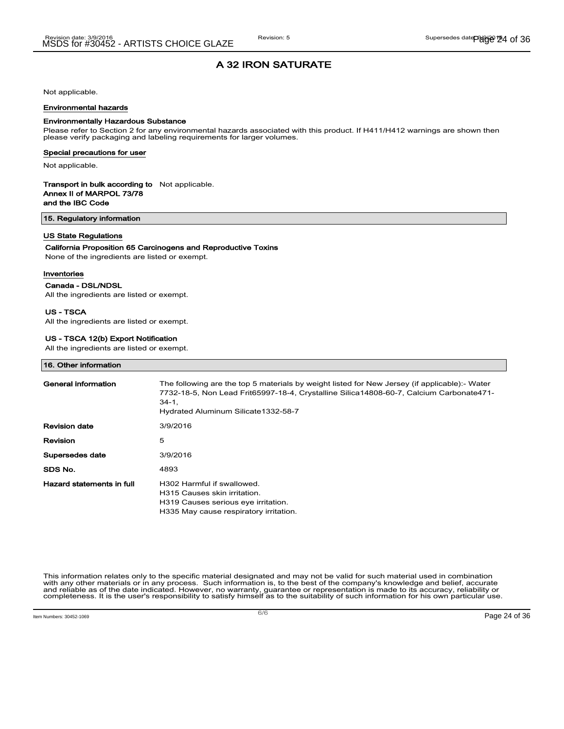Not applicable.

#### Environmental hazards

#### Environmentally Hazardous Substance

Please refer to Section 2 for any environmental hazards associated with this product. If H411/H412 warnings are shown then please verify packaging and labeling requirements for larger volumes.

#### Special precautions for user

Not applicable.

#### Transport in bulk according to Not applicable. Annex II of MARPOL 73/78

and the IBC Code

15. Regulatory information

#### US State Regulations

#### California Proposition 65 Carcinogens and Reproductive Toxins

None of the ingredients are listed or exempt.

#### Inventories

#### Canada - DSL/NDSL

All the ingredients are listed or exempt.

#### US - TSCA

All the ingredients are listed or exempt.

#### US - TSCA 12(b) Export Notification

All the ingredients are listed or exempt.

#### 16. Other information

| General information       | The following are the top 5 materials by weight listed for New Jersey (if applicable):- Water<br>7732-18-5, Non Lead Frit65997-18-4, Crystalline Silica14808-60-7, Calcium Carbonate471-<br>$34-1.$<br>Hydrated Aluminum Silicate 1332-58-7 |
|---------------------------|---------------------------------------------------------------------------------------------------------------------------------------------------------------------------------------------------------------------------------------------|
| <b>Revision date</b>      | 3/9/2016                                                                                                                                                                                                                                    |
| Revision                  | 5                                                                                                                                                                                                                                           |
| Supersedes date           | 3/9/2016                                                                                                                                                                                                                                    |
| SDS No.                   | 4893                                                                                                                                                                                                                                        |
| Hazard statements in full | H <sub>302</sub> Harmful if swallowed.<br>H315 Causes skin irritation.<br>H319 Causes serious eye irritation.<br>H335 May cause respiratory irritation.                                                                                     |

This information relates only to the specific material designated and may not be valid for such material used in combination with any other materials or in any process. Such information is, to the best of the company's knowledge and belief, accurate and reliable as of the date indicated. However, no warranty, guarantee or representation is made to its accuracy, reliability or<br>completeness. It is the user's responsibility to satisfy himself as to the suitability of suc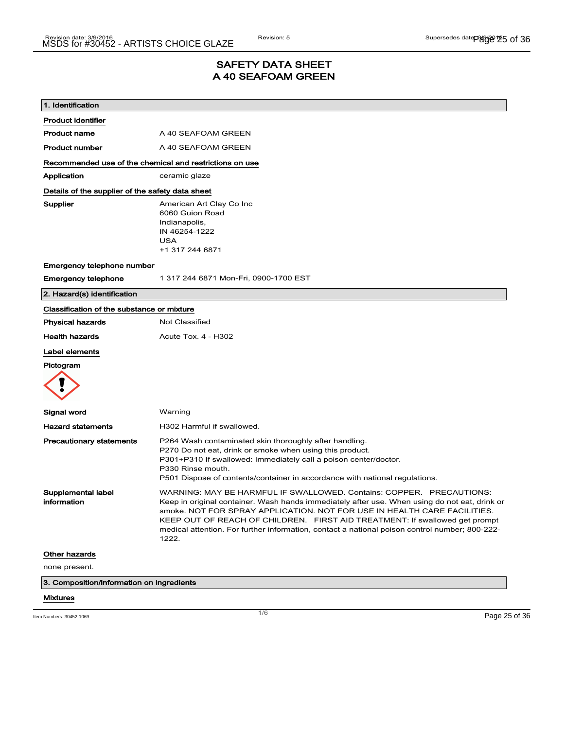### SAFETY DATA SHEET A 40 SEAFOAM GREEN

| 1. Identification                                |                                                                                                                                                                                                                                                                                                                                                                                                                                             |
|--------------------------------------------------|---------------------------------------------------------------------------------------------------------------------------------------------------------------------------------------------------------------------------------------------------------------------------------------------------------------------------------------------------------------------------------------------------------------------------------------------|
| <b>Product identifier</b>                        |                                                                                                                                                                                                                                                                                                                                                                                                                                             |
| <b>Product name</b>                              | A 40 SEAFOAM GREEN                                                                                                                                                                                                                                                                                                                                                                                                                          |
| <b>Product number</b>                            | A 40 SEAFOAM GREEN                                                                                                                                                                                                                                                                                                                                                                                                                          |
|                                                  | Recommended use of the chemical and restrictions on use                                                                                                                                                                                                                                                                                                                                                                                     |
| Application                                      | ceramic glaze                                                                                                                                                                                                                                                                                                                                                                                                                               |
| Details of the supplier of the safety data sheet |                                                                                                                                                                                                                                                                                                                                                                                                                                             |
| Supplier                                         | American Art Clay Co Inc<br>6060 Guion Road<br>Indianapolis,<br>IN 46254-1222<br><b>USA</b><br>+1 317 244 6871                                                                                                                                                                                                                                                                                                                              |
| Emergency telephone number                       |                                                                                                                                                                                                                                                                                                                                                                                                                                             |
| <b>Emergency telephone</b>                       | 1 317 244 6871 Mon-Fri, 0900-1700 EST                                                                                                                                                                                                                                                                                                                                                                                                       |
| 2. Hazard(s) identification                      |                                                                                                                                                                                                                                                                                                                                                                                                                                             |
| Classification of the substance or mixture       |                                                                                                                                                                                                                                                                                                                                                                                                                                             |
| <b>Physical hazards</b>                          | Not Classified                                                                                                                                                                                                                                                                                                                                                                                                                              |
| <b>Health hazards</b>                            | Acute Tox. 4 - H302                                                                                                                                                                                                                                                                                                                                                                                                                         |
| Label elements                                   |                                                                                                                                                                                                                                                                                                                                                                                                                                             |
| Pictogram                                        |                                                                                                                                                                                                                                                                                                                                                                                                                                             |
| Signal word                                      | Warning                                                                                                                                                                                                                                                                                                                                                                                                                                     |
| <b>Hazard statements</b>                         | H302 Harmful if swallowed.                                                                                                                                                                                                                                                                                                                                                                                                                  |
| <b>Precautionary statements</b>                  | P264 Wash contaminated skin thoroughly after handling.<br>P270 Do not eat, drink or smoke when using this product.<br>P301+P310 If swallowed: Immediately call a poison center/doctor.<br>P330 Rinse mouth.<br>P501 Dispose of contents/container in accordance with national regulations.                                                                                                                                                  |
| Supplemental label<br>information                | WARNING: MAY BE HARMFUL IF SWALLOWED. Contains: COPPER. PRECAUTIONS:<br>Keep in original container. Wash hands immediately after use. When using do not eat, drink or<br>smoke. NOT FOR SPRAY APPLICATION. NOT FOR USE IN HEALTH CARE FACILITIES.<br>KEEP OUT OF REACH OF CHILDREN. FIRST AID TREATMENT: If swallowed get prompt<br>medical attention. For further information, contact a national poison control number; 800-222-<br>1222. |
| <b>Other hazards</b>                             |                                                                                                                                                                                                                                                                                                                                                                                                                                             |
| none present.                                    |                                                                                                                                                                                                                                                                                                                                                                                                                                             |
|                                                  | 3. Composition/information on ingredients                                                                                                                                                                                                                                                                                                                                                                                                   |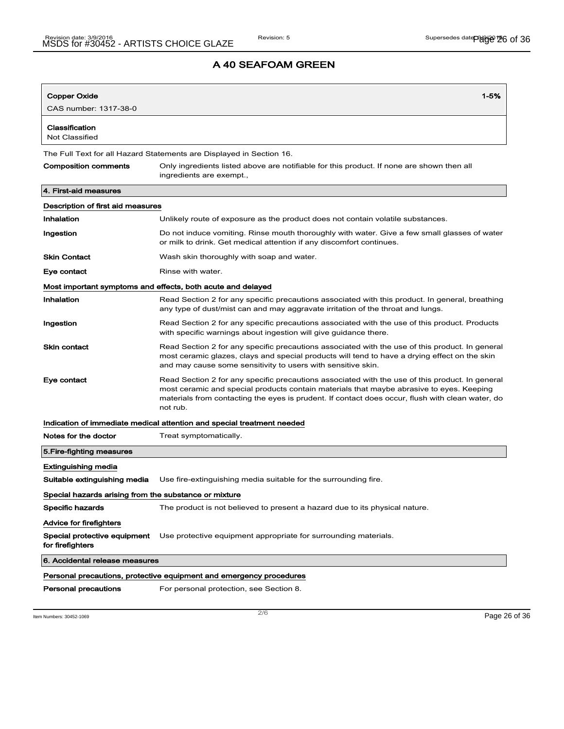| <b>Copper Oxide</b>                                                 | $1 - 5%$                                                                                                                                                                                                                                                                                                    |  |
|---------------------------------------------------------------------|-------------------------------------------------------------------------------------------------------------------------------------------------------------------------------------------------------------------------------------------------------------------------------------------------------------|--|
| CAS number: 1317-38-0                                               |                                                                                                                                                                                                                                                                                                             |  |
|                                                                     |                                                                                                                                                                                                                                                                                                             |  |
| Classification<br>Not Classified                                    |                                                                                                                                                                                                                                                                                                             |  |
|                                                                     | The Full Text for all Hazard Statements are Displayed in Section 16.                                                                                                                                                                                                                                        |  |
| Composition comments                                                | Only ingredients listed above are notifiable for this product. If none are shown then all<br>ingredients are exempt.,                                                                                                                                                                                       |  |
| 4. First-aid measures                                               |                                                                                                                                                                                                                                                                                                             |  |
| Description of first aid measures                                   |                                                                                                                                                                                                                                                                                                             |  |
| Inhalation                                                          | Unlikely route of exposure as the product does not contain volatile substances.                                                                                                                                                                                                                             |  |
| Ingestion                                                           | Do not induce vomiting. Rinse mouth thoroughly with water. Give a few small glasses of water<br>or milk to drink. Get medical attention if any discomfort continues.                                                                                                                                        |  |
| <b>Skin Contact</b>                                                 | Wash skin thoroughly with soap and water.                                                                                                                                                                                                                                                                   |  |
| Eye contact                                                         | Rinse with water.                                                                                                                                                                                                                                                                                           |  |
|                                                                     | Most important symptoms and effects, both acute and delayed                                                                                                                                                                                                                                                 |  |
| Inhalation                                                          | Read Section 2 for any specific precautions associated with this product. In general, breathing<br>any type of dust/mist can and may aggravate irritation of the throat and lungs.                                                                                                                          |  |
| Ingestion                                                           | Read Section 2 for any specific precautions associated with the use of this product. Products<br>with specific warnings about ingestion will give guidance there.                                                                                                                                           |  |
| <b>Skin contact</b>                                                 | Read Section 2 for any specific precautions associated with the use of this product. In general<br>most ceramic glazes, clays and special products will tend to have a drying effect on the skin<br>and may cause some sensitivity to users with sensitive skin.                                            |  |
| Eye contact                                                         | Read Section 2 for any specific precautions associated with the use of this product. In general<br>most ceramic and special products contain materials that maybe abrasive to eyes. Keeping<br>materials from contacting the eyes is prudent. If contact does occur, flush with clean water, do<br>not rub. |  |
|                                                                     | Indication of immediate medical attention and special treatment needed                                                                                                                                                                                                                                      |  |
| Notes for the doctor                                                | Treat symptomatically.                                                                                                                                                                                                                                                                                      |  |
| 5.Fire-fighting measures                                            |                                                                                                                                                                                                                                                                                                             |  |
| <b>Extinguishing media</b>                                          |                                                                                                                                                                                                                                                                                                             |  |
| Suitable extinguishing media                                        | Use fire-extinguishing media suitable for the surrounding fire.                                                                                                                                                                                                                                             |  |
| Special hazards arising from the substance or mixture               |                                                                                                                                                                                                                                                                                                             |  |
| Specific hazards                                                    | The product is not believed to present a hazard due to its physical nature.                                                                                                                                                                                                                                 |  |
| Advice for firefighters                                             |                                                                                                                                                                                                                                                                                                             |  |
| Special protective equipment<br>for firefighters                    | Use protective equipment appropriate for surrounding materials.                                                                                                                                                                                                                                             |  |
| 6. Accidental release measures                                      |                                                                                                                                                                                                                                                                                                             |  |
| Personal precautions, protective equipment and emergency procedures |                                                                                                                                                                                                                                                                                                             |  |
| Personal precautions                                                | For personal protection, see Section 8.                                                                                                                                                                                                                                                                     |  |

Item Numbers:  $30452-1069$   $Page\ 26 of\ 36$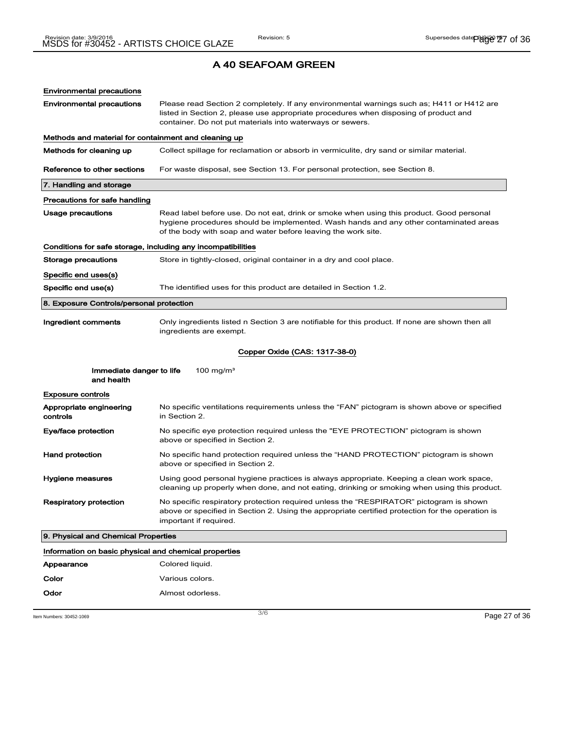| <b>Environmental precautions</b>                             |                                                                                                                                                                                                                                                    |  |
|--------------------------------------------------------------|----------------------------------------------------------------------------------------------------------------------------------------------------------------------------------------------------------------------------------------------------|--|
| <b>Environmental precautions</b>                             | Please read Section 2 completely. If any environmental warnings such as; H411 or H412 are<br>listed in Section 2, please use appropriate procedures when disposing of product and<br>container. Do not put materials into waterways or sewers.     |  |
| Methods and material for containment and cleaning up         |                                                                                                                                                                                                                                                    |  |
| Methods for cleaning up                                      | Collect spillage for reclamation or absorb in vermiculite, dry sand or similar material.                                                                                                                                                           |  |
| Reference to other sections                                  | For waste disposal, see Section 13. For personal protection, see Section 8.                                                                                                                                                                        |  |
| 7. Handling and storage                                      |                                                                                                                                                                                                                                                    |  |
| Precautions for safe handling                                |                                                                                                                                                                                                                                                    |  |
| Usage precautions                                            | Read label before use. Do not eat, drink or smoke when using this product. Good personal<br>hygiene procedures should be implemented. Wash hands and any other contaminated areas<br>of the body with soap and water before leaving the work site. |  |
| Conditions for safe storage, including any incompatibilities |                                                                                                                                                                                                                                                    |  |
| Storage precautions                                          | Store in tightly-closed, original container in a dry and cool place.                                                                                                                                                                               |  |
| Specific end uses(s)                                         |                                                                                                                                                                                                                                                    |  |
| Specific end use(s)                                          | The identified uses for this product are detailed in Section 1.2.                                                                                                                                                                                  |  |
| 8. Exposure Controls/personal protection                     |                                                                                                                                                                                                                                                    |  |
| Ingredient comments                                          | Only ingredients listed n Section 3 are notifiable for this product. If none are shown then all<br>ingredients are exempt.                                                                                                                         |  |
|                                                              | Copper Oxide (CAS: 1317-38-0)                                                                                                                                                                                                                      |  |
| Immediate danger to life<br>and health                       | 100 mg/m <sup>3</sup>                                                                                                                                                                                                                              |  |
| <b>Exposure controls</b>                                     |                                                                                                                                                                                                                                                    |  |
| Appropriate engineering<br>controls                          | No specific ventilations requirements unless the "FAN" pictogram is shown above or specified<br>in Section 2.                                                                                                                                      |  |
| Eye/face protection                                          | No specific eye protection required unless the "EYE PROTECTION" pictogram is shown<br>above or specified in Section 2.                                                                                                                             |  |
| <b>Hand protection</b>                                       | No specific hand protection required unless the "HAND PROTECTION" pictogram is shown<br>above or specified in Section 2.                                                                                                                           |  |
| Hygiene measures                                             | Using good personal hygiene practices is always appropriate. Keeping a clean work space,<br>cleaning up properly when done, and not eating, drinking or smoking when using this product.                                                           |  |
| <b>Respiratory protection</b>                                | No specific respiratory protection required unless the "RESPIRATOR" pictogram is shown<br>above or specified in Section 2. Using the appropriate certified protection for the operation is<br>important if required.                               |  |
| 9. Physical and Chemical Properties                          |                                                                                                                                                                                                                                                    |  |
| Information on basic physical and chemical properties        |                                                                                                                                                                                                                                                    |  |
| Appearance                                                   | Colored liquid.                                                                                                                                                                                                                                    |  |
| Color                                                        | Various colors.                                                                                                                                                                                                                                    |  |
| Odor                                                         | Almost odorless.                                                                                                                                                                                                                                   |  |

Item Numbers: 30452-1069 Page 27 of 36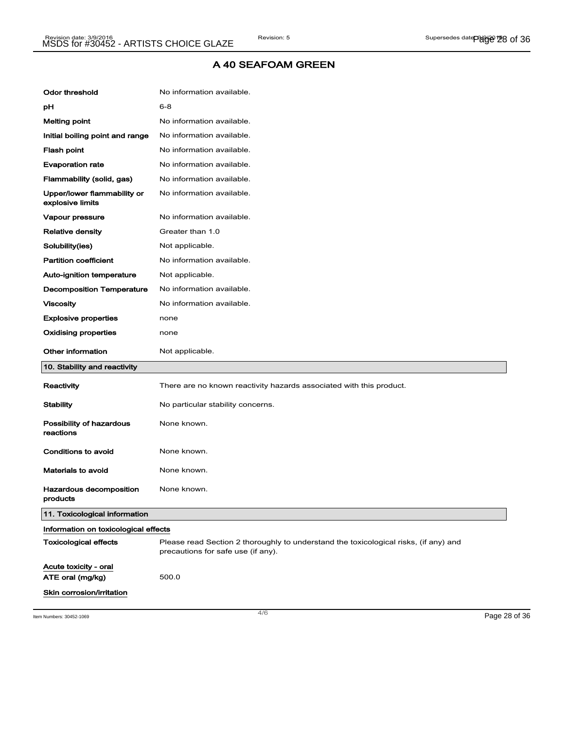| <b>Odor threshold</b>                           | No information available.                                                                                                  |
|-------------------------------------------------|----------------------------------------------------------------------------------------------------------------------------|
| рH                                              | $6 - 8$                                                                                                                    |
| <b>Melting point</b>                            | No information available.                                                                                                  |
| Initial boiling point and range                 | No information available.                                                                                                  |
| Flash point                                     | No information available.                                                                                                  |
| <b>Evaporation rate</b>                         | No information available.                                                                                                  |
| Flammability (solid, gas)                       | No information available.                                                                                                  |
| Upper/lower flammability or<br>explosive limits | No information available.                                                                                                  |
| Vapour pressure                                 | No information available.                                                                                                  |
| <b>Relative density</b>                         | Greater than 1.0                                                                                                           |
| Solubility(ies)                                 | Not applicable.                                                                                                            |
| <b>Partition coefficient</b>                    | No information available.                                                                                                  |
| Auto-ignition temperature                       | Not applicable.                                                                                                            |
| <b>Decomposition Temperature</b>                | No information available.                                                                                                  |
| <b>Viscosity</b>                                | No information available.                                                                                                  |
| <b>Explosive properties</b>                     | none                                                                                                                       |
| <b>Oxidising properties</b>                     | none                                                                                                                       |
|                                                 |                                                                                                                            |
| Other information                               | Not applicable.                                                                                                            |
| 10. Stability and reactivity                    |                                                                                                                            |
| Reactivity                                      | There are no known reactivity hazards associated with this product.                                                        |
| <b>Stability</b>                                | No particular stability concerns.                                                                                          |
| Possibility of hazardous<br>reactions           | None known.                                                                                                                |
| Conditions to avoid                             | None known.                                                                                                                |
| Materials to avoid                              | None known.                                                                                                                |
| <b>Hazardous decomposition</b><br>products      | None known.                                                                                                                |
| 11. Toxicological information                   |                                                                                                                            |
| Information on toxicological effects            |                                                                                                                            |
| <b>Toxicological effects</b>                    | Please read Section 2 thoroughly to understand the toxicological risks, (if any) and<br>precautions for safe use (if any). |
| Acute toxicity - oral                           |                                                                                                                            |
| ATE oral (mg/kg)                                | 500.0                                                                                                                      |

Item Numbers: 30452-1069 Page 28 of 36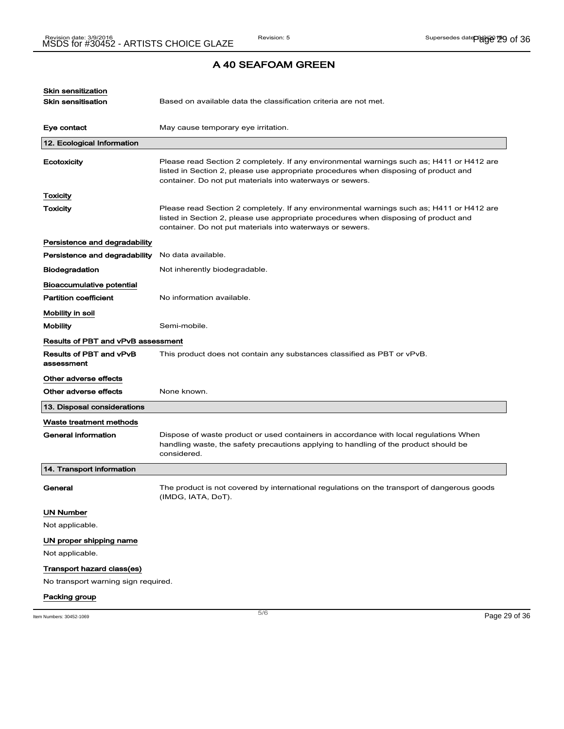| Skin sensitization<br><b>Skin sensitisation</b> | Based on available data the classification criteria are not met.                                                                                                                                                                               |               |
|-------------------------------------------------|------------------------------------------------------------------------------------------------------------------------------------------------------------------------------------------------------------------------------------------------|---------------|
| Eye contact                                     | May cause temporary eye irritation.                                                                                                                                                                                                            |               |
| 12. Ecological Information                      |                                                                                                                                                                                                                                                |               |
| Ecotoxicity                                     | Please read Section 2 completely. If any environmental warnings such as; H411 or H412 are<br>listed in Section 2, please use appropriate procedures when disposing of product and<br>container. Do not put materials into waterways or sewers. |               |
| Toxicity                                        |                                                                                                                                                                                                                                                |               |
| <b>Toxicity</b>                                 | Please read Section 2 completely. If any environmental warnings such as; H411 or H412 are<br>listed in Section 2, please use appropriate procedures when disposing of product and<br>container. Do not put materials into waterways or sewers. |               |
| Persistence and degradability                   |                                                                                                                                                                                                                                                |               |
| Persistence and degradability                   | No data available.                                                                                                                                                                                                                             |               |
| <b>Biodegradation</b>                           | Not inherently biodegradable.                                                                                                                                                                                                                  |               |
| Bioaccumulative potential                       |                                                                                                                                                                                                                                                |               |
| <b>Partition coefficient</b>                    | No information available.                                                                                                                                                                                                                      |               |
| Mobility in soil                                |                                                                                                                                                                                                                                                |               |
| <b>Mobility</b>                                 | Semi-mobile.                                                                                                                                                                                                                                   |               |
| Results of PBT and vPvB assessment              |                                                                                                                                                                                                                                                |               |
| Results of PBT and vPvB<br>assessment           | This product does not contain any substances classified as PBT or vPvB.                                                                                                                                                                        |               |
| Other adverse effects                           |                                                                                                                                                                                                                                                |               |
| Other adverse effects                           | None known.                                                                                                                                                                                                                                    |               |
| 13. Disposal considerations                     |                                                                                                                                                                                                                                                |               |
| Waste treatment methods                         |                                                                                                                                                                                                                                                |               |
| <b>General information</b>                      | Dispose of waste product or used containers in accordance with local regulations When<br>handling waste, the safety precautions applying to handling of the product should be<br>considered.                                                   |               |
| 14. Transport information                       |                                                                                                                                                                                                                                                |               |
| General                                         | The product is not covered by international regulations on the transport of dangerous goods<br>(IMDG, IATA, DoT).                                                                                                                              |               |
| <b>UN Number</b>                                |                                                                                                                                                                                                                                                |               |
| Not applicable.                                 |                                                                                                                                                                                                                                                |               |
| UN proper shipping name                         |                                                                                                                                                                                                                                                |               |
| Not applicable.                                 |                                                                                                                                                                                                                                                |               |
| Transport hazard class(es)                      |                                                                                                                                                                                                                                                |               |
| No transport warning sign required.             |                                                                                                                                                                                                                                                |               |
| Packing group                                   |                                                                                                                                                                                                                                                |               |
|                                                 | 5/6                                                                                                                                                                                                                                            |               |
| Item Numbers: 30452-1069                        |                                                                                                                                                                                                                                                | Page 29 of 36 |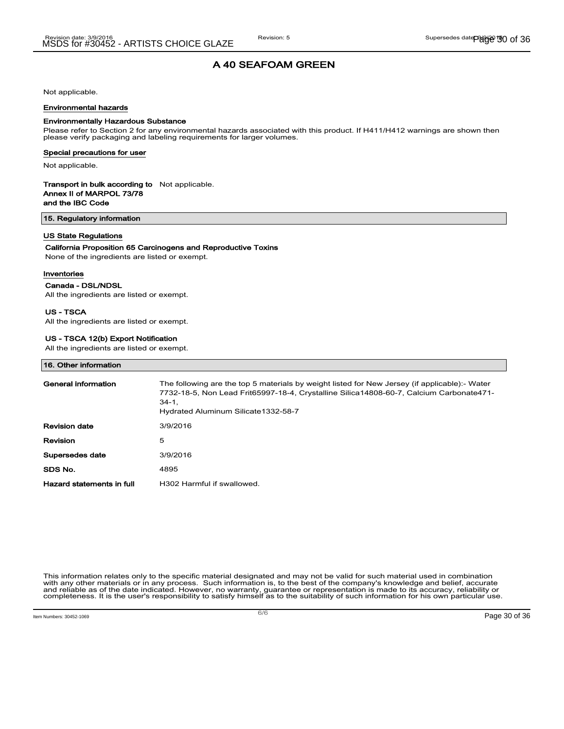Not applicable.

#### Environmental hazards

#### Environmentally Hazardous Substance

Please refer to Section 2 for any environmental hazards associated with this product. If H411/H412 warnings are shown then please verify packaging and labeling requirements for larger volumes.

#### Special precautions for user

Not applicable.

#### Transport in bulk according to Not applicable. Annex II of MARPOL 73/78

and the IBC Code

#### 15. Regulatory information

#### US State Regulations

#### California Proposition 65 Carcinogens and Reproductive Toxins

None of the ingredients are listed or exempt.

#### Inventories

#### Canada - DSL/NDSL

All the ingredients are listed or exempt.

#### US - TSCA

All the ingredients are listed or exempt.

#### US - TSCA 12(b) Export Notification

All the ingredients are listed or exempt.

#### 16. Other information

| General information       | The following are the top 5 materials by weight listed for New Jersey (if applicable):- Water<br>7732-18-5, Non Lead Frit65997-18-4, Crystalline Silica14808-60-7, Calcium Carbonate471-<br>$34-1.$<br>Hydrated Aluminum Silicate 1332-58-7 |
|---------------------------|---------------------------------------------------------------------------------------------------------------------------------------------------------------------------------------------------------------------------------------------|
| <b>Revision date</b>      | 3/9/2016                                                                                                                                                                                                                                    |
| Revision                  | 5                                                                                                                                                                                                                                           |
| Supersedes date           | 3/9/2016                                                                                                                                                                                                                                    |
| SDS No.                   | 4895                                                                                                                                                                                                                                        |
| Hazard statements in full | H302 Harmful if swallowed.                                                                                                                                                                                                                  |

This information relates only to the specific material designated and may not be valid for such material used in combination with any other materials or in any process. Such information is, to the best of the company's knowledge and belief, accurate and reliable as of the date indicated. However, no warranty, guarantee or representation is made to its accuracy, reliability or<br>completeness. It is the user's responsibility to satisfy himself as to the suitability of suc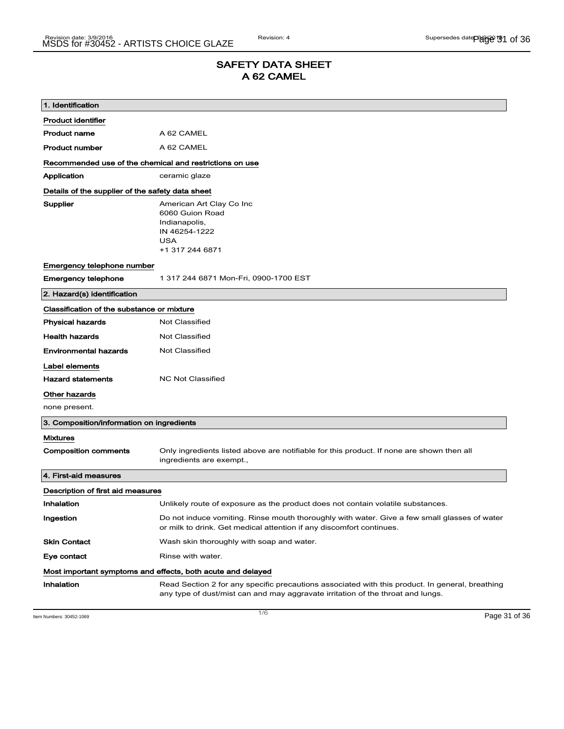### SAFETY DATA SHEET A 62 CAMEL

| 1. Identification                                       |                                                                                                                                                                                    |  |
|---------------------------------------------------------|------------------------------------------------------------------------------------------------------------------------------------------------------------------------------------|--|
| <b>Product identifier</b>                               |                                                                                                                                                                                    |  |
| <b>Product name</b>                                     | A 62 CAMEL                                                                                                                                                                         |  |
| <b>Product number</b>                                   | A 62 CAMEL                                                                                                                                                                         |  |
| Recommended use of the chemical and restrictions on use |                                                                                                                                                                                    |  |
| Application                                             | ceramic glaze                                                                                                                                                                      |  |
| Details of the supplier of the safety data sheet        |                                                                                                                                                                                    |  |
| Supplier                                                | American Art Clay Co Inc<br>6060 Guion Road<br>Indianapolis,<br>IN 46254-1222<br><b>USA</b><br>+1 317 244 6871                                                                     |  |
| Emergency telephone number                              |                                                                                                                                                                                    |  |
| <b>Emergency telephone</b>                              | 1 317 244 6871 Mon-Fri, 0900-1700 EST                                                                                                                                              |  |
| 2. Hazard(s) identification                             |                                                                                                                                                                                    |  |
| Classification of the substance or mixture              |                                                                                                                                                                                    |  |
| <b>Physical hazards</b>                                 | <b>Not Classified</b>                                                                                                                                                              |  |
| <b>Health hazards</b>                                   | <b>Not Classified</b>                                                                                                                                                              |  |
| <b>Environmental hazards</b>                            | Not Classified                                                                                                                                                                     |  |
| Label elements                                          |                                                                                                                                                                                    |  |
| <b>Hazard statements</b>                                | <b>NC Not Classified</b>                                                                                                                                                           |  |
| Other hazards                                           |                                                                                                                                                                                    |  |
| none present.                                           |                                                                                                                                                                                    |  |
| 3. Composition/information on ingredients               |                                                                                                                                                                                    |  |
| <b>Mixtures</b>                                         |                                                                                                                                                                                    |  |
| <b>Composition comments</b>                             | Only ingredients listed above are notifiable for this product. If none are shown then all<br>ingredients are exempt.,                                                              |  |
| 4. First-aid measures                                   |                                                                                                                                                                                    |  |
| Description of first aid measures                       |                                                                                                                                                                                    |  |
| Inhalation                                              | Unlikely route of exposure as the product does not contain volatile substances.                                                                                                    |  |
| Ingestion                                               | Do not induce vomiting. Rinse mouth thoroughly with water. Give a few small glasses of water<br>or milk to drink. Get medical attention if any discomfort continues.               |  |
| <b>Skin Contact</b>                                     | Wash skin thoroughly with soap and water.                                                                                                                                          |  |
| Eye contact                                             | Rinse with water.                                                                                                                                                                  |  |
|                                                         | Most important symptoms and effects, both acute and delayed                                                                                                                        |  |
| Inhalation                                              | Read Section 2 for any specific precautions associated with this product. In general, breathing<br>any type of dust/mist can and may aggravate irritation of the throat and lungs. |  |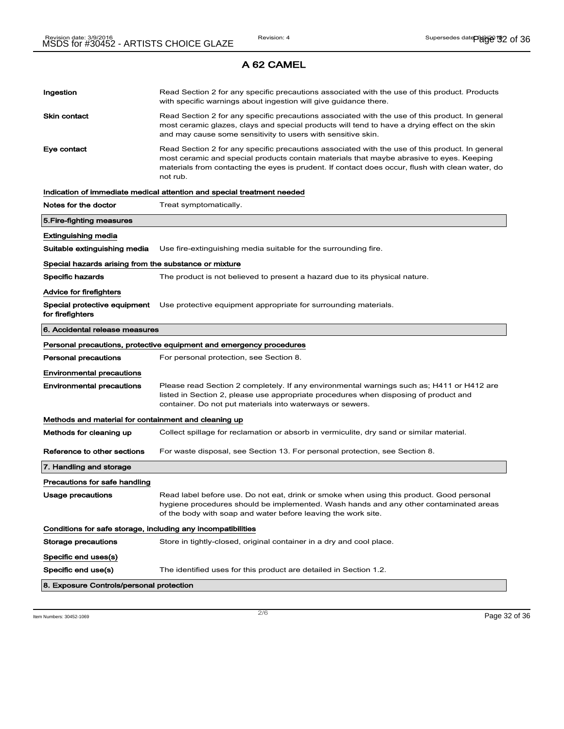### Ingestion **Read Section 2 for any specific precautions associated with the use of this product. Products** with specific warnings about ingestion will give guidance there. Skin contact **Read Section 2 for any specific precautions associated with the use of this product. In general** most ceramic glazes, clays and special products will tend to have a drying effect on the skin and may cause some sensitivity to users with sensitive skin. Eye contact **Read Section 2 for any specific precautions associated with the use of this product. In general** most ceramic and special products contain materials that maybe abrasive to eyes. Keeping materials from contacting the eyes is prudent. If contact does occur, flush with clean water, do not rub. Indication of immediate medical attention and special treatment needed Notes for the doctor Treat symptomatically. 5.Fire-fighting measures Extinguishing media Suitable extinguishing media Use fire-extinguishing media suitable for the surrounding fire. Special hazards arising from the substance or mixture Specific hazards The product is not believed to present a hazard due to its physical nature. Advice for firefighters Special protective equipment Use protective equipment appropriate for surrounding materials. for firefighters 6. Accidental release measures Personal precautions, protective equipment and emergency procedures Personal precautions For personal protection, see Section 8. Environmental precautions Environmental precautions Please read Section 2 completely. If any environmental warnings such as; H411 or H412 are listed in Section 2, please use appropriate procedures when disposing of product and container. Do not put materials into waterways or sewers. Methods and material for containment and cleaning up Methods for cleaning up Collect spillage for reclamation or absorb in vermiculite, dry sand or similar material. Reference to other sections For waste disposal, see Section 13. For personal protection, see Section 8. 7. Handling and storage Precautions for safe handling Usage precautions **Read label before use. Do not eat, drink or smoke when using this product. Good personal** hygiene procedures should be implemented. Wash hands and any other contaminated areas of the body with soap and water before leaving the work site. Conditions for safe storage, including any incompatibilities Storage precautions Store in tightly-closed, original container in a dry and cool place. Specific end uses(s) Specific end use(s) The identified uses for this product are detailed in Section 1.2. 8. Exposure Controls/personal protection

Item Numbers: 30452-1069 Page 32 of 36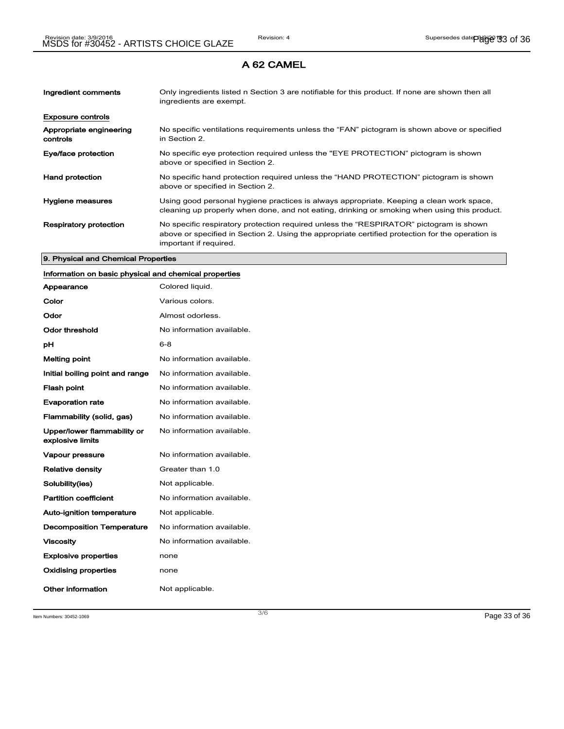| Ingredient comments                 | Only ingredients listed n Section 3 are notifiable for this product. If none are shown then all<br>ingredients are exempt.                                                                                           |
|-------------------------------------|----------------------------------------------------------------------------------------------------------------------------------------------------------------------------------------------------------------------|
| <b>Exposure controls</b>            |                                                                                                                                                                                                                      |
| Appropriate engineering<br>controls | No specific ventilations requirements unless the "FAN" pictogram is shown above or specified<br>in Section 2.                                                                                                        |
| Eye/face protection                 | No specific eye protection required unless the "EYE PROTECTION" pictogram is shown<br>above or specified in Section 2.                                                                                               |
| <b>Hand protection</b>              | No specific hand protection required unless the "HAND PROTECTION" pictogram is shown<br>above or specified in Section 2.                                                                                             |
| Hygiene measures                    | Using good personal hygiene practices is always appropriate. Keeping a clean work space,<br>cleaning up properly when done, and not eating, drinking or smoking when using this product.                             |
| <b>Respiratory protection</b>       | No specific respiratory protection required unless the "RESPIRATOR" pictogram is shown<br>above or specified in Section 2. Using the appropriate certified protection for the operation is<br>important if required. |

#### 9. Physical and Chemical Properties

### Information on basic physical and chemical properties

| Appearance                                      | Colored liquid.           |
|-------------------------------------------------|---------------------------|
| Color                                           | Various colors.           |
| Odor                                            | Almost odorless.          |
| Odor threshold                                  | No information available. |
| рH                                              | $6 - 8$                   |
| <b>Melting point</b>                            | No information available. |
| Initial boiling point and range                 | No information available. |
| <b>Flash point</b>                              | No information available. |
| <b>Evaporation rate</b>                         | No information available. |
| Flammability (solid, gas)                       | No information available. |
| Upper/lower flammability or<br>explosive limits | No information available. |
| Vapour pressure                                 | No information available. |
| <b>Relative density</b>                         | Greater than 1.0          |
| Solubility(ies)                                 | Not applicable.           |
| <b>Partition coefficient</b>                    | No information available. |
| <b>Auto-ignition temperature</b>                | Not applicable.           |
| <b>Decomposition Temperature</b>                | No information available. |
| <b>Viscosity</b>                                | No information available. |
| <b>Explosive properties</b>                     | none                      |
| <b>Oxidising properties</b>                     | none                      |
| Other information                               | Not applicable.           |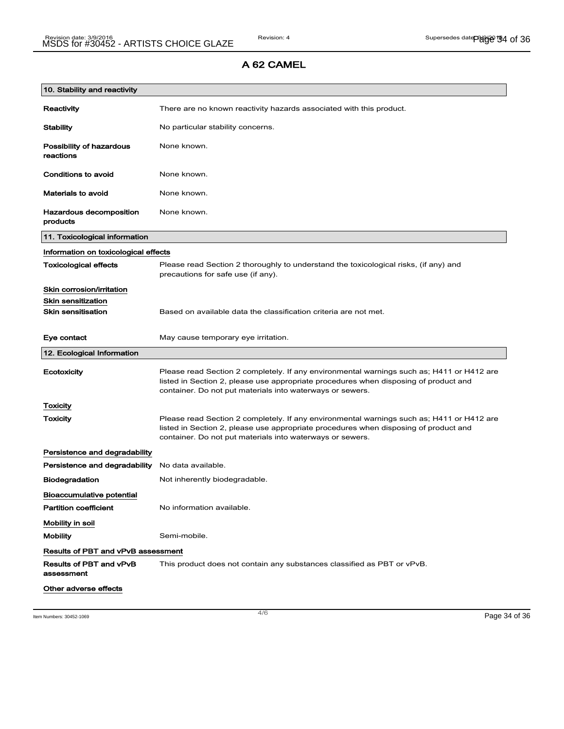| 10. Stability and reactivity              |                                                                                                                                                                                                                                                |  |
|-------------------------------------------|------------------------------------------------------------------------------------------------------------------------------------------------------------------------------------------------------------------------------------------------|--|
| Reactivity                                | There are no known reactivity hazards associated with this product.                                                                                                                                                                            |  |
| <b>Stability</b>                          | No particular stability concerns.                                                                                                                                                                                                              |  |
| Possibility of hazardous<br>reactions     | None known.                                                                                                                                                                                                                                    |  |
| Conditions to avoid                       | None known.                                                                                                                                                                                                                                    |  |
| <b>Materials to avoid</b>                 | None known.                                                                                                                                                                                                                                    |  |
| Hazardous decomposition<br>products       | None known.                                                                                                                                                                                                                                    |  |
| 11. Toxicological information             |                                                                                                                                                                                                                                                |  |
| Information on toxicological effects      |                                                                                                                                                                                                                                                |  |
| <b>Toxicological effects</b>              | Please read Section 2 thoroughly to understand the toxicological risks, (if any) and<br>precautions for safe use (if any).                                                                                                                     |  |
| Skin corrosion/irritation                 |                                                                                                                                                                                                                                                |  |
| <b>Skin sensitization</b>                 |                                                                                                                                                                                                                                                |  |
| <b>Skin sensitisation</b>                 | Based on available data the classification criteria are not met.                                                                                                                                                                               |  |
| Eye contact                               | May cause temporary eye irritation.                                                                                                                                                                                                            |  |
| 12. Ecological Information                |                                                                                                                                                                                                                                                |  |
| Ecotoxicity                               | Please read Section 2 completely. If any environmental warnings such as; H411 or H412 are<br>listed in Section 2, please use appropriate procedures when disposing of product and<br>container. Do not put materials into waterways or sewers. |  |
| <b>Toxicity</b>                           |                                                                                                                                                                                                                                                |  |
| Toxicity                                  | Please read Section 2 completely. If any environmental warnings such as; H411 or H412 are<br>listed in Section 2, please use appropriate procedures when disposing of product and<br>container. Do not put materials into waterways or sewers. |  |
| Persistence and degradability             |                                                                                                                                                                                                                                                |  |
| Persistence and degradability             | No data available.                                                                                                                                                                                                                             |  |
| <b>Biodegradation</b>                     | Not inherently biodegradable.                                                                                                                                                                                                                  |  |
| <b>Bioaccumulative potential</b>          |                                                                                                                                                                                                                                                |  |
| <b>Partition coefficient</b>              | No information available.                                                                                                                                                                                                                      |  |
| Mobility in soil                          |                                                                                                                                                                                                                                                |  |
| <b>Mobility</b>                           | Semi-mobile.                                                                                                                                                                                                                                   |  |
| <b>Results of PBT and vPvB assessment</b> |                                                                                                                                                                                                                                                |  |
| Results of PBT and vPvB<br>assessment     | This product does not contain any substances classified as PBT or vPvB.                                                                                                                                                                        |  |
| Other adverse effects                     |                                                                                                                                                                                                                                                |  |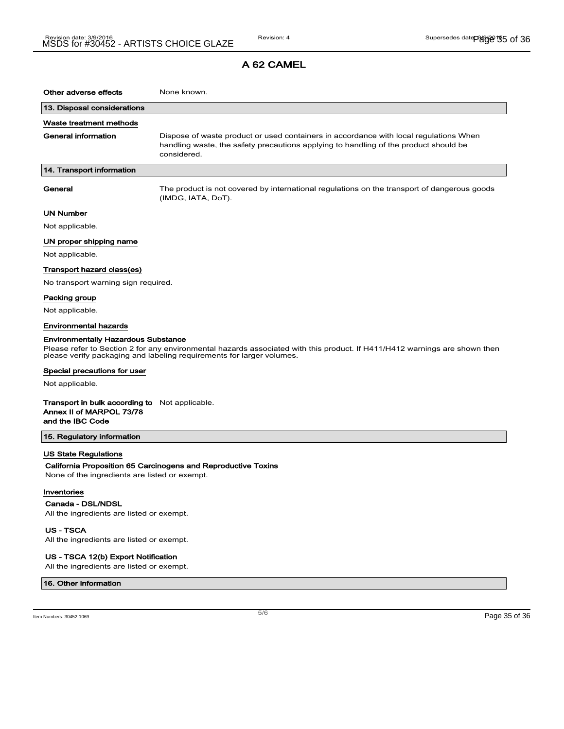| Other adverse effects                                                                                 | None known.                                                                                                                                                                                         |
|-------------------------------------------------------------------------------------------------------|-----------------------------------------------------------------------------------------------------------------------------------------------------------------------------------------------------|
| 13. Disposal considerations                                                                           |                                                                                                                                                                                                     |
| Waste treatment methods                                                                               |                                                                                                                                                                                                     |
| General information                                                                                   | Dispose of waste product or used containers in accordance with local regulations When<br>handling waste, the safety precautions applying to handling of the product should be<br>considered.        |
| 14. Transport information                                                                             |                                                                                                                                                                                                     |
| General                                                                                               | The product is not covered by international regulations on the transport of dangerous goods<br>(IMDG, IATA, DoT).                                                                                   |
| UN Number                                                                                             |                                                                                                                                                                                                     |
| Not applicable.                                                                                       |                                                                                                                                                                                                     |
| UN proper shipping name                                                                               |                                                                                                                                                                                                     |
| Not applicable.                                                                                       |                                                                                                                                                                                                     |
| Transport hazard class(es)                                                                            |                                                                                                                                                                                                     |
| No transport warning sign required.                                                                   |                                                                                                                                                                                                     |
| Packing group                                                                                         |                                                                                                                                                                                                     |
| Not applicable.                                                                                       |                                                                                                                                                                                                     |
| Environmental hazards                                                                                 |                                                                                                                                                                                                     |
| <b>Environmentally Hazardous Substance</b>                                                            |                                                                                                                                                                                                     |
|                                                                                                       | Please refer to Section 2 for any environmental hazards associated with this product. If H411/H412 warnings are shown then<br>please verify packaging and labeling requirements for larger volumes. |
| Special precautions for user                                                                          |                                                                                                                                                                                                     |
| Not applicable.                                                                                       |                                                                                                                                                                                                     |
| <b>Transport in bulk according to</b> Not applicable.<br>Annex II of MARPOL 73/78<br>and the IBC Code |                                                                                                                                                                                                     |
| 15. Regulatory information                                                                            |                                                                                                                                                                                                     |
| US State Regulations                                                                                  |                                                                                                                                                                                                     |
| None of the ingredients are listed or exempt.                                                         | California Proposition 65 Carcinogens and Reproductive Toxins                                                                                                                                       |

#### Inventories

Canada - DSL/NDSL

All the ingredients are listed or exempt.

US - TSCA All the ingredients are listed or exempt.

#### US - TSCA 12(b) Export Notification

All the ingredients are listed or exempt.

#### 16. Other information